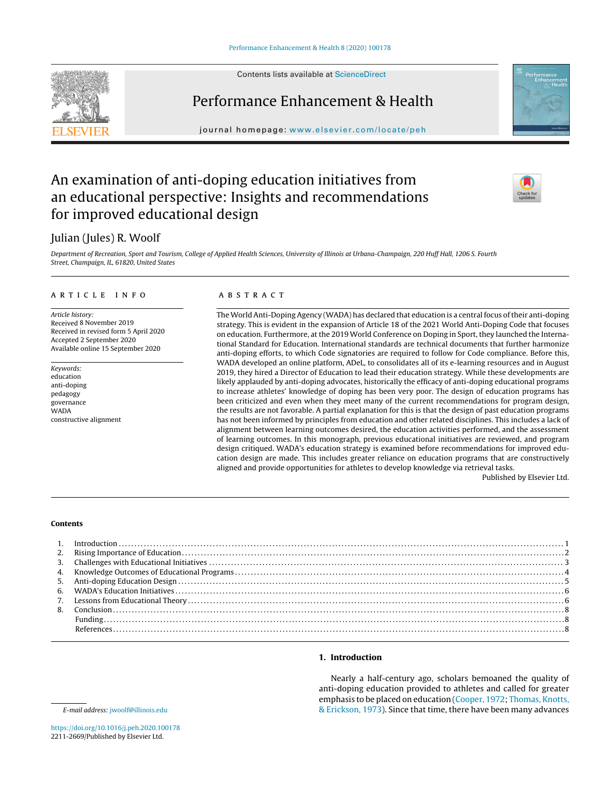Contents lists available at [ScienceDirect](http://www.sciencedirect.com/science/journal/00000000)

# Performance Enhancement & Health

journal homepage: [www.elsevier.com/locate/peh](http://www.elsevier.com/locate/peh)

# An examination of anti-doping education initiatives from an educational perspective: Insights and recommendations for improved educational design

# Julian (Jules) R. Woolf

Department of Recreation, Sport and Tourism, College of Applied Health Sciences, University of Illinois at Urbana-Champaign, 220 Huff Hall, 1206 S. Fourth Street, Champaign, IL, 61820, United States

## a r t i c l e i n f o

Article history: Received 8 November 2019 Received in revised form 5 April 2020 Accepted 2 September 2020 Available online 15 September 2020

Keywords: education anti-doping pedagogy governance WADA constructive alignment

### A B S T R A C T

The World Anti-Doping Agency (WADA) has declared that education is a central focus oftheir anti-doping strategy. This is evident in the expansion of Article 18 of the 2021 World Anti-Doping Code that focuses on education. Furthermore, at the 2019 World Conference on Doping in Sport, they launched the International Standard for Education. International standards are technical documents that further harmonize anti-doping efforts, to which Code signatories are required to follow for Code compliance. Before this, WADA developed an online platform, ADeL, to consolidates all of its e-learning resources and in August 2019, they hired a Director of Education to lead their education strategy. While these developments are likely applauded by anti-doping advocates, historically the efficacy of anti-doping educational programs to increase athletes' knowledge of doping has been very poor. The design of education programs has been criticized and even when they meet many of the current recommendations for program design, the results are not favorable. A partial explanation for this is that the design of past education programs has not been informed by principles from education and other related disciplines. This includes a lack of alignment between learning outcomes desired, the education activities performed, and the assessment of learning outcomes. In this monograph, previous educational initiatives are reviewed, and program design critiqued. WADA's education strategy is examined before recommendations for improved education design are made. This includes greater reliance on education programs that are constructively aligned and provide opportunities for athletes to develop knowledge via retrieval tasks.

Published by Elsevier Ltd.

### **Contents**

# **1. Introduction**

Nearly a half-century ago, scholars bemoaned the quality of anti-doping education provided to athletes and called for greater emphasis to be placed on education [\(Cooper,](#page-7-0) [1972;](#page-7-0) [Thomas,](#page-8-0) [Knotts,](#page-8-0) [&](#page-8-0) [Erickson,](#page-8-0) [1973\).](#page-8-0) Since that time, there have been many advances







E-mail address: [jwoolf@illinois.edu](mailto:jwoolf@illinois.edu)

<https://doi.org/10.1016/j.peh.2020.100178> 2211-2669/Published by Elsevier Ltd.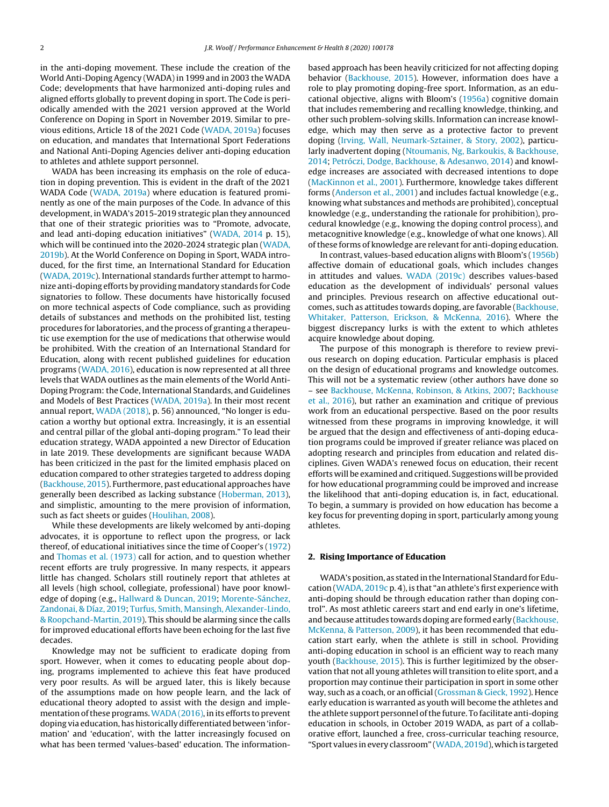in the anti-doping movement. These include the creation of the World Anti-Doping Agency (WADA)in 1999 and in 2003 the WADA Code; developments that have harmonized anti-doping rules and aligned efforts globally to prevent doping in sport. The Code is periodically amended with the 2021 version approved at the World Conference on Doping in Sport in November 2019. Similar to previous editions, Article 18 of the 2021 Code [\(WADA,](#page-8-0) [2019a\)](#page-8-0) focuses on education, and mandates that International Sport Federations and National Anti-Doping Agencies deliver anti-doping education to athletes and athlete support personnel.

WADA has been increasing its emphasis on the role of education in doping prevention. This is evident in the draft of the 2021 WADA Code [\(WADA,](#page-8-0) [2019a\)](#page-8-0) where education is featured prominently as one of the main purposes of the Code. In advance of this development, inWADA's 2015-2019 strategic plan they announced that one of their strategic priorities was to "Promote, advocate, and lead anti-doping education initiatives" ([WADA,](#page-8-0) [2014](#page-8-0) p. 15), which will be continued into the 2020-2024 strategic plan [\(WADA,](#page-8-0) [2019b\).](#page-8-0) At the World Conference on Doping in Sport, WADA introduced, for the first time, an International Standard for Education ([WADA,](#page-8-0) [2019c\).](#page-8-0) International standards further attempt to harmonize anti-doping efforts by providing mandatory standards for Code signatories to follow. These documents have historically focused on more technical aspects of Code compliance, such as providing details of substances and methods on the prohibited list, testing procedures for laboratories, and the process of granting a therapeutic use exemption for the use of medications that otherwise would be prohibited. With the creation of an International Standard for Education, along with recent published guidelines for education programs [\(WADA,](#page-8-0) [2016\),](#page-8-0) education is now represented at all three levels that WADA outlines as the main elements of the World Anti-Doping Program: the Code, International Standards, and Guidelines and Models of Best Practices [\(WADA,](#page-8-0) [2019a\).](#page-8-0) In their most recent annual report, [WADA](#page-8-0) [\(2018\),](#page-8-0) p. 56) announced, "No longer is education a worthy but optional extra. Increasingly, it is an essential and central pillar of the global anti-doping program." To lead their education strategy, WADA appointed a new Director of Education in late 2019. These developments are significant because WADA has been criticized in the past for the limited emphasis placed on education compared to other strategies targeted to address doping ([Backhouse,](#page-7-0) [2015\).](#page-7-0) Furthermore, past educational approaches have generally been described as lacking substance [\(Hoberman,](#page-7-0) [2013\),](#page-7-0) and simplistic, amounting to the mere provision of information, such as fact sheets or guides [\(Houlihan,](#page-7-0) [2008\).](#page-7-0)

While these developments are likely welcomed by anti-doping advocates, it is opportune to reflect upon the progress, or lack thereof, of educational initiatives since the time of Cooper's [\(1972\)](#page-7-0) and [Thomas](#page-8-0) et [al.](#page-8-0) [\(1973\)](#page-8-0) call for action, and to question whether recent efforts are truly progressive. In many respects, it appears little has changed. Scholars still routinely report that athletes at all levels (high school, collegiate, professional) have poor knowledge of doping (e.g., [Hallward](#page-7-0) [&](#page-7-0) [Duncan,](#page-7-0) [2019;](#page-7-0) [Morente-Sánchez,](#page-8-0) [Zandonai,](#page-8-0) [&](#page-8-0) [Díaz,](#page-8-0) [2019;](#page-8-0) [Turfus,](#page-8-0) [Smith,](#page-8-0) [Mansingh,](#page-8-0) [Alexander-Lindo,](#page-8-0) [&](#page-8-0) [Roopchand-Martin,](#page-8-0) [2019\).](#page-8-0) This should be alarming since the calls for improved educational efforts have been echoing for the last five decades.

Knowledge may not be sufficient to eradicate doping from sport. However, when it comes to educating people about doping, programs implemented to achieve this feat have produced very poor results. As will be argued later, this is likely because of the assumptions made on how people learn, and the lack of educational theory adopted to assist with the design and implementation ofthese programs.[WADA\(2016\),](#page-8-0) in its efforts to prevent doping via education, has historically differentiated between 'information' and 'education', with the latter increasingly focused on what has been termed 'values-based' education. The informationbased approach has been heavily criticized for not affecting doping behavior ([Backhouse,](#page-7-0) [2015\).](#page-7-0) However, information does have a role to play promoting doping-free sport. Information, as an educational objective, aligns with Bloom's [\(1956a\)](#page-7-0) cognitive domain that includes remembering and recalling knowledge, thinking, and other such problem-solving skills. Information can increase knowledge, which may then serve as a protective factor to prevent doping [\(Irving,](#page-7-0) [Wall,](#page-7-0) [Neumark-Sztainer,](#page-7-0) [&](#page-7-0) [Story,](#page-7-0) [2002\),](#page-7-0) particularly inadvertent doping [\(Ntoumanis,](#page-8-0) [Ng,](#page-8-0) [Barkoukis,](#page-8-0) [&](#page-8-0) [Backhouse,](#page-8-0) [2014;](#page-8-0) [Petróczi,](#page-8-0) [Dodge,](#page-8-0) [Backhouse,](#page-8-0) [&](#page-8-0) [Adesanwo,](#page-8-0) [2014\)](#page-8-0) and knowledge increases are associated with decreased intentions to dope [\(MacKinnon](#page-8-0) et [al.,](#page-8-0) [2001\).](#page-8-0) Furthermore, knowledge takes different forms ([Anderson](#page-7-0) et [al.,](#page-7-0) [2001\)](#page-7-0) and includes factual knowledge (e.g., knowing what substances and methods are prohibited), conceptual knowledge (e.g., understanding the rationale for prohibition), procedural knowledge (e.g., knowing the doping control process), and metacognitive knowledge (e.g., knowledge of what one knows). All of these forms of knowledge are relevant for anti-doping education.

In contrast, values-based education aligns with Bloom's ([1956b\)](#page-7-0) affective domain of educational goals, which includes changes in attitudes and values. [WADA](#page-8-0) [\(2019c\)](#page-8-0) describes values-based education as the development of individuals' personal values and principles. Previous research on affective educational outcomes, such as attitudes towards doping, are favorable [\(Backhouse,](#page-7-0) [Whitaker,](#page-7-0) [Patterson,](#page-7-0) [Erickson,](#page-7-0) [&](#page-7-0) [McKenna,](#page-7-0) [2016\).](#page-7-0) Where the biggest discrepancy lurks is with the extent to which athletes acquire knowledge about doping.

The purpose of this monograph is therefore to review previous research on doping education. Particular emphasis is placed on the design of educational programs and knowledge outcomes. This will not be a systematic review (other authors have done so – see [Backhouse,](#page-7-0) [McKenna,](#page-7-0) [Robinson,](#page-7-0) [&](#page-7-0) [Atkins,](#page-7-0) [2007;](#page-7-0) [Backhouse](#page-7-0) et [al.,](#page-7-0) [2016\),](#page-7-0) but rather an examination and critique of previous work from an educational perspective. Based on the poor results witnessed from these programs in improving knowledge, it will be argued that the design and effectiveness of anti-doping education programs could be improved if greater reliance was placed on adopting research and principles from education and related disciplines. Given WADA's renewed focus on education, their recent efforts will be examined and critiqued. Suggestions will be provided for how educational programming could be improved and increase the likelihood that anti-doping education is, in fact, educational. To begin, a summary is provided on how education has become a key focus for preventing doping in sport, particularly among young athletes.

#### **2. Rising Importance of Education**

WADA's position, as stated in the International Standard for Education [\(WADA,](#page-8-0) [2019c](#page-8-0) p. 4), is that "an athlete's first experience with anti-doping should be through education rather than doping control". As most athletic careers start and end early in one's lifetime, and because attitudes towards doping are formed early [\(Backhouse,](#page-7-0) [McKenna,](#page-7-0) [&](#page-7-0) [Patterson,](#page-7-0) [2009\),](#page-7-0) it has been recommended that education start early, when the athlete is still in school. Providing anti-doping education in school is an efficient way to reach many youth [\(Backhouse,](#page-7-0) [2015\).](#page-7-0) This is further legitimized by the observation that not all young athletes will transition to elite sport, and a proportion may continue their participation in sport in some other way, such as a coach, or an official([Grossman](#page-7-0) [&](#page-7-0) [Gieck,](#page-7-0) [1992\).](#page-7-0) Hence early education is warranted as youth will become the athletes and the athlete support personnel ofthe future. To facilitate anti-doping education in schools, in October 2019 WADA, as part of a collaborative effort, launched a free, cross-curricular teaching resource, "Sport values inevery classroom" ([WADA,](#page-8-0) [2019d\),](#page-8-0) whichis targeted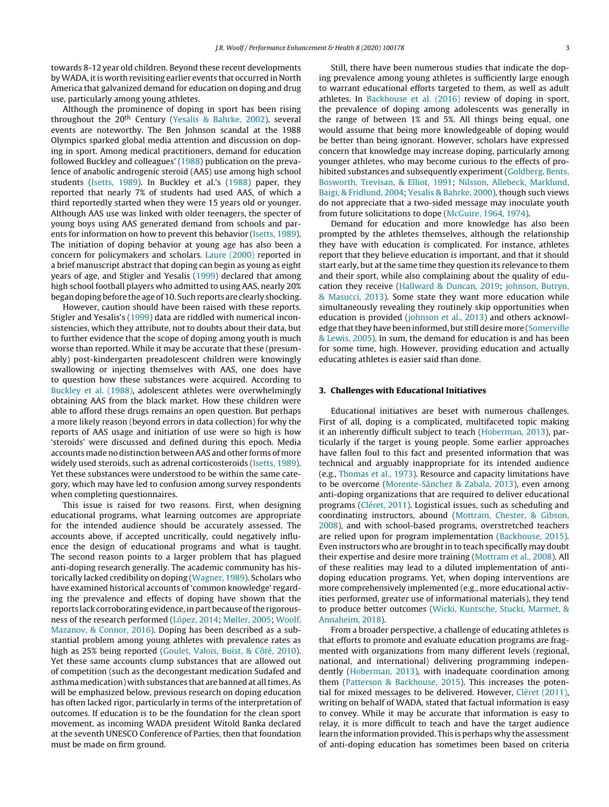towards 8-12 year old children. Beyond these recent developments by WADA, it is worth revisiting earlier events that occurred in North America that galvanized demand for education on doping and drug use, particularly among young athletes.

Although the prominence of doping in sport has been rising throughout the  $20<sup>th</sup>$  Century [\(Yesalis](#page-8-0) [&](#page-8-0) [Bahrke,](#page-8-0) [2002\),](#page-8-0) several events are noteworthy. The Ben Johnson scandal at the 1988 Olympics sparked global media attention and discussion on doping in sport. Among medical practitioners, demand for education followed Buckley and colleagues' [\(1988\)](#page-7-0) publication on the prevalence of anabolic androgenic steroid (AAS) use among high school students [\(Isetts,](#page-7-0) [1989\).](#page-7-0) In Buckley et al.'s [\(1988\)](#page-7-0) paper, they reported that nearly 7% of students had used AAS, of which a third reportedly started when they were 15 years old or younger. Although AAS use was linked with older teenagers, the specter of young boys using AAS generated demand from schools and parents for information on how to prevent this behavior ([Isetts,](#page-7-0) [1989\).](#page-7-0) The initiation of doping behavior at young age has also been a concern for policymakers and scholars. [Laure](#page-7-0) [\(2000\)](#page-7-0) reported in a brief manuscript abstract that doping can begin as young as eight years of age, and Stigler and Yesalis ([1999\)](#page-8-0) declared that among high school football players who admitted to using AAS, nearly 20% begandoping before the age of 10. Suchreports are clearly shocking.

However, caution should have been raised with these reports. Stigler and Yesalis's ([1999\)](#page-8-0) data are riddled with numerical inconsistencies, which they attribute, not to doubts about their data, but to further evidence that the scope of doping among youth is much worse than reported. While it may be accurate that these (presumably) post-kindergarten preadolescent children were knowingly swallowing or injecting themselves with AAS, one does have to question how these substances were acquired. According to [Buckley](#page-7-0) et [al.](#page-7-0) [\(1988\),](#page-7-0) adolescent athletes were overwhelmingly obtaining AAS from the black market. How these children were able to afford these drugs remains an open question. But perhaps a more likely reason (beyond errors in data collection) for why the reports of AAS usage and initiation of use were so high is how 'steroids' were discussed and defined during this epoch. Media accounts made no distinction between AAS and other forms of more widely used steroids, such as adrenal corticosteroids ([Isetts,](#page-7-0) [1989\).](#page-7-0) Yet these substances were understood to be within the same category, which may have led to confusion among survey respondents when completing questionnaires.

This issue is raised for two reasons. First, when designing educational programs, what learning outcomes are appropriate for the intended audience should be accurately assessed. The accounts above, if accepted uncritically, could negatively influence the design of educational programs and what is taught. The second reason points to a larger problem that has plagued anti-doping research generally. The academic community has historically lacked credibility on doping ([Wagner,](#page-8-0) [1989\).](#page-8-0) Scholars who have examined historical accounts of 'common knowledge' regarding the prevalence and effects of doping have shown that the reports lack corroborating evidence, in part because of the rigorousness of the research performed ([López,](#page-8-0) [2014;](#page-8-0) [Møller,](#page-8-0) [2005;](#page-8-0) [Woolf,](#page-8-0) [Mazanov,](#page-8-0) [&](#page-8-0) [Connor,](#page-8-0) [2016\).](#page-8-0) Doping has been described as a substantial problem among young athletes with prevalence rates as high as 25% being reported ([Goulet,](#page-7-0) [Valois,](#page-7-0) [Buist,](#page-7-0) [&](#page-7-0) [Côté,](#page-7-0) [2010\).](#page-7-0) Yet these same accounts clump substances that are allowed out of competition (such as the decongestant medication Sudafed and asthma medication) with substances that are banned at all times. As will be emphasized below, previous research on doping education has often lacked rigor, particularly in terms of the interpretation of outcomes. If education is to be the foundation for the clean sport movement, as incoming WADA president Witold Banka declared at the seventh UNESCO Conference of Parties, then that foundation must be made on firm ground.

Still, there have been numerous studies that indicate the doping prevalence among young athletes is sufficiently large enough to warrant educational efforts targeted to them, as well as adult athletes. In [Backhouse](#page-7-0) et [al.](#page-7-0) [\(2016\)](#page-7-0) review of doping in sport, the prevalence of doping among adolescents was generally in the range of between 1% and 5%. All things being equal, one would assume that being more knowledgeable of doping would be better than being ignorant. However, scholars have expressed concern that knowledge may increase doping, particularly among younger athletes, who may become curious to the effects of prohibited substances and subsequently experiment [\(Goldberg,](#page-7-0) [Bents,](#page-7-0) [Bosworth,](#page-7-0) [Trevisan,](#page-7-0) [&](#page-7-0) [Elliot,](#page-7-0) [1991;](#page-7-0) [Nilsson,](#page-8-0) [Allebeck,](#page-8-0) [Marklund,](#page-8-0) [Baigi,](#page-8-0) [&](#page-8-0) [Fridlund,](#page-8-0) [2004;](#page-8-0) [Yesalis](#page-8-0) [&](#page-8-0) [Bahrke,](#page-8-0) [2000\),](#page-8-0) though such views do not appreciate that a two-sided message may inoculate youth from future solicitations to dope ([McGuire,](#page-8-0) [1964,](#page-8-0) [1974\).](#page-8-0)

Demand for education and more knowledge has also been prompted by the athletes themselves, although the relationship they have with education is complicated. For instance, athletes report that they believe education is important, and that it should start early, but at the same time they question its relevance to them and their sport, while also complaining about the quality of education they receive ([Hallward](#page-7-0) [&](#page-7-0) [Duncan,](#page-7-0) [2019;](#page-7-0) [johnson,](#page-7-0) [Butryn,](#page-7-0) [&](#page-7-0) [Masucci,](#page-7-0) [2013\).](#page-7-0) Some state they want more education while simultaneously revealing they routinely skip opportunities when education is provided ([johnson](#page-7-0) et [al.,](#page-7-0) [2013\)](#page-7-0) and others acknowl-edge that they have been informed, but still desire more ([Somerville](#page-8-0) [&](#page-8-0) [Lewis,](#page-8-0) [2005\).](#page-8-0) In sum, the demand for education is and has been for some time, high. However, providing education and actually educating athletes is easier said than done.

#### **3. Challenges with Educational Initiatives**

Educational initiatives are beset with numerous challenges. First of all, doping is a complicated, multifaceted topic making it an inherently difficult subject to teach ([Hoberman,](#page-7-0) [2013\),](#page-7-0) particularly if the target is young people. Some earlier approaches have fallen foul to this fact and presented information that was technical and arguably inappropriate for its intended audience (e.g., [Thomas](#page-8-0) et [al.,](#page-8-0) [1973\).](#page-8-0) Resource and capacity limitations have to be overcome [\(Morente-Sánchez](#page-8-0) [&](#page-8-0) [Zabala,](#page-8-0) [2013\),](#page-8-0) even among anti-doping organizations that are required to deliver educational programs ([Cléret,](#page-7-0) [2011\).](#page-7-0) Logistical issues, such as scheduling and coordinating instructors, abound [\(Mottram,](#page-8-0) [Chester,](#page-8-0) [&](#page-8-0) [Gibson,](#page-8-0) [2008\),](#page-8-0) and with school-based programs, overstretched teachers are relied upon for program implementation ([Backhouse,](#page-7-0) [2015\).](#page-7-0) Even instructors who are brought in to teach specifically may doubt their expertise and desire more training ([Mottram](#page-8-0) et [al.,](#page-8-0) [2008\).](#page-8-0) All of these realities may lead to a diluted implementation of antidoping education programs. Yet, when doping interventions are more comprehensively implemented (e.g., more educational activities performed, greater use of informational materials), they tend to produce better outcomes ([Wicki,](#page-8-0) [Kuntsche,](#page-8-0) [Stucki,](#page-8-0) [Marmet,](#page-8-0) [&](#page-8-0) [Annaheim,](#page-8-0) [2018\).](#page-8-0)

From a broader perspective, a challenge of educating athletes is that efforts to promote and evaluate education programs are fragmented with organizations from many different levels (regional, national, and international) delivering programming independently [\(Hoberman,](#page-7-0) [2013\),](#page-7-0) with inadequate coordination among them [\(Patterson](#page-8-0) [&](#page-8-0) [Backhouse,](#page-8-0) [2015\).](#page-8-0) This increases the potential for mixed messages to be delivered. However, [Cléret](#page-7-0) [\(2011\),](#page-7-0) writing on behalf of WADA, stated that factual information is easy to convey. While it may be accurate that information is easy to relay, it is more difficult to teach and have the target audience learn the information provided. This is perhaps why the assessment of anti-doping education has sometimes been based on criteria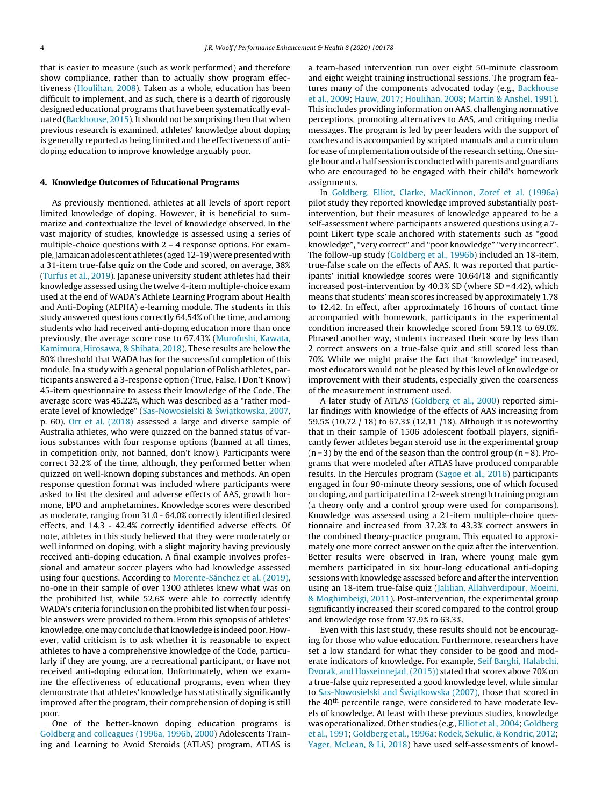that is easier to measure (such as work performed) and therefore show compliance, rather than to actually show program effectiveness [\(Houlihan,](#page-7-0) [2008\).](#page-7-0) Taken as a whole, education has been difficult to implement, and as such, there is a dearth of rigorously designed educational programs that have been systematically evaluated [\(Backhouse,](#page-7-0) [2015\).](#page-7-0) It should not be surprising then that when previous research is examined, athletes' knowledge about doping is generally reported as being limited and the effectiveness of antidoping education to improve knowledge arguably poor.

#### **4. Knowledge Outcomes of Educational Programs**

As previously mentioned, athletes at all levels of sport report limited knowledge of doping. However, it is beneficial to summarize and contextualize the level of knowledge observed. In the vast majority of studies, knowledge is assessed using a series of multiple-choice questions with 2 – 4 response options. For example,Jamaicanadolescent athletes (aged 12-19) were presented with a 31-item true-false quiz on the Code and scored, on average, 38% ([Turfus](#page-8-0) et [al.,](#page-8-0) [2019\).](#page-8-0) Japanese university student athletes had their knowledge assessed using the twelve 4-item multiple-choice exam used at the end of WADA's Athlete Learning Program about Health and Anti-Doping (ALPHA) e-learning module. The students in this study answered questions correctly 64.54% of the time, and among students who had received anti-doping education more than once previously, the average score rose to 67.43% ([Murofushi,](#page-8-0) [Kawata,](#page-8-0) [Kamimura,](#page-8-0) [Hirosawa,](#page-8-0) [&](#page-8-0) [Shibata,](#page-8-0) [2018\).](#page-8-0) These results are below the 80% threshold that WADA has for the successful completion of this module. In a study with a general population of Polish athletes, participants answered a 3-response option (True, False, I Don't Know) 45-item questionnaire to assess their knowledge of the Code. The average score was 45.22%, which was described as a "rather mod-erate level of knowledge" [\(Sas-Nowosielski](#page-8-0) [&](#page-8-0) Świątkowska, [2007,](#page-8-0) p. 60). [Orr](#page-8-0) et [al.](#page-8-0) [\(2018\)](#page-8-0) assessed a large and diverse sample of Australia athletes, who were quizzed on the banned status of various substances with four response options (banned at all times, in competition only, not banned, don't know). Participants were correct 32.2% of the time, although, they performed better when quizzed on well-known doping substances and methods. An open response question format was included where participants were asked to list the desired and adverse effects of AAS, growth hormone, EPO and amphetamines. Knowledge scores were described as moderate, ranging from 31.0 - 64.0% correctly identified desired effects, and 14.3 - 42.4% correctly identified adverse effects. Of note, athletes in this study believed that they were moderately or well informed on doping, with a slight majority having previously received anti-doping education. A final example involves professional and amateur soccer players who had knowledge assessed using four questions. According to [Morente-Sánchez](#page-8-0) et [al.](#page-8-0) [\(2019\),](#page-8-0) no-one in their sample of over 1300 athletes knew what was on the prohibited list, while 52.6% were able to correctly identify WADA's criteria for inclusion on the prohibited list when four possible answers were provided to them. From this synopsis of athletes' knowledge, one may conclude that knowledge is indeed poor. However, valid criticism is to ask whether it is reasonable to expect athletes to have a comprehensive knowledge of the Code, particularly if they are young, are a recreational participant, or have not received anti-doping education. Unfortunately, when we examine the effectiveness of educational programs, even when they demonstrate that athletes' knowledge has statistically significantly improved after the program, their comprehension of doping is still poor.

One of the better-known doping education programs is [Goldberg](#page-7-0) [and](#page-7-0) [colleagues](#page-7-0) [\(1996a,](#page-7-0) [1996b,](#page-7-0) [2000\)](#page-7-0) Adolescents Training and Learning to Avoid Steroids (ATLAS) program. ATLAS is a team-based intervention run over eight 50-minute classroom and eight weight training instructional sessions. The program fea-tures many of the components advocated today (e.g., [Backhouse](#page-7-0) et [al.,](#page-7-0) [2009;](#page-7-0) [Hauw,](#page-7-0) [2017;](#page-7-0) [Houlihan,](#page-7-0) [2008;](#page-7-0) [Martin](#page-8-0) [&](#page-8-0) [Anshel,](#page-8-0) [1991\).](#page-8-0) This includes providing information on AAS, challenging normative perceptions, promoting alternatives to AAS, and critiquing media messages. The program is led by peer leaders with the support of coaches and is accompanied by scripted manuals and a curriculum for ease of implementation outside of the research setting. One single hour and a half session is conducted with parents and guardians who are encouraged to be engaged with their child's homework assignments.

In [Goldberg,](#page-7-0) [Elliot,](#page-7-0) [Clarke,](#page-7-0) [MacKinnon,](#page-7-0) [Zoref](#page-7-0) et [al.](#page-7-0) [\(1996a\)](#page-7-0) pilot study they reported knowledge improved substantially postintervention, but their measures of knowledge appeared to be a self-assessment where participants answered questions using a 7 point Likert type scale anchored with statements such as "good knowledge", "very correct" and "poor knowledge" "very incorrect". The follow-up study [\(Goldberg](#page-7-0) et [al.,](#page-7-0) [1996b\)](#page-7-0) included an 18-item, true-false scale on the effects of AAS. It was reported that participants' initial knowledge scores were 10.64/18 and significantly increased post-intervention by 40.3% SD (where SD = 4.42), which means that students' mean scores increased by approximately 1.78 to 12.42. In effect, after approximately 16 hours of contact time accompanied with homework, participants in the experimental condition increased their knowledge scored from 59.1% to 69.0%. Phrased another way, students increased their score by less than 2 correct answers on a true-false quiz and still scored less than 70%. While we might praise the fact that 'knowledge' increased, most educators would not be pleased by this level of knowledge or improvement with their students, especially given the coarseness of the measurement instrument used.

A later study of ATLAS [\(Goldberg](#page-7-0) et [al.,](#page-7-0) [2000\)](#page-7-0) reported similar findings with knowledge of the effects of AAS increasing from 59.5% (10.72 / 18) to 67.3% (12.11 /18). Although it is noteworthy that in their sample of 1506 adolescent football players, significantly fewer athletes began steroid use in the experimental group  $(n=3)$  by the end of the season than the control group  $(n=8)$ . Programs that were modeled after ATLAS have produced comparable results. In the Hercules program [\(Sagoe](#page-8-0) et [al.,](#page-8-0) [2016\)](#page-8-0) participants engaged in four 90-minute theory sessions, one of which focused on doping, and participated in a 12-week strength training program (a theory only and a control group were used for comparisons). Knowledge was assessed using a 21-item multiple-choice questionnaire and increased from 37.2% to 43.3% correct answers in the combined theory-practice program. This equated to approximately one more correct answer on the quiz after the intervention. Better results were observed in Iran, where young male gym members participated in six hour-long educational anti-doping sessions with knowledge assessed before and after the intervention using an 18-item true-false quiz ([Jalilian,](#page-7-0) [Allahverdipour,](#page-7-0) [Moeini,](#page-7-0) [&](#page-7-0) [Moghimbeigi,](#page-7-0) [2011\).](#page-7-0) Post-intervention, the experimental group significantly increased their scored compared to the control group and knowledge rose from 37.9% to 63.3%.

Even with this last study, these results should not be encouraging for those who value education. Furthermore, researchers have set a low standard for what they consider to be good and moderate indicators of knowledge. For example, [Seif](#page-8-0) [Barghi,](#page-8-0) [Halabchi,](#page-8-0) [Dvorak,](#page-8-0) [and](#page-8-0) [Hosseinnejad,](#page-8-0) [\(2015\)\)](#page-8-0) stated that scores above 70% on a true-false quiz represented a good knowledge level, while similar to [Sas-Nowosielski](#page-8-0) [and](#page-8-0) Świątkowska [\(2007\),](#page-8-0) those that scored in the 40<sup>th</sup> percentile range, were considered to have moderate levels of knowledge. At least with these previous studies, knowledge was operationalized. Other studies (e.g., [Elliot](#page-7-0) et [al.,](#page-7-0) [2004;](#page-7-0) [Goldberg](#page-7-0) et [al.,](#page-7-0) [1991;](#page-7-0) [Goldberg](#page-7-0) et [al.,](#page-7-0) [1996a;](#page-7-0) [Rodek,](#page-8-0) [Sekulic,](#page-8-0) [&](#page-8-0) [Kondric,](#page-8-0) [2012;](#page-8-0) [Yager,](#page-8-0) [McLean,](#page-8-0) [&](#page-8-0) [Li,](#page-8-0) [2018\)](#page-8-0) have used self-assessments of knowl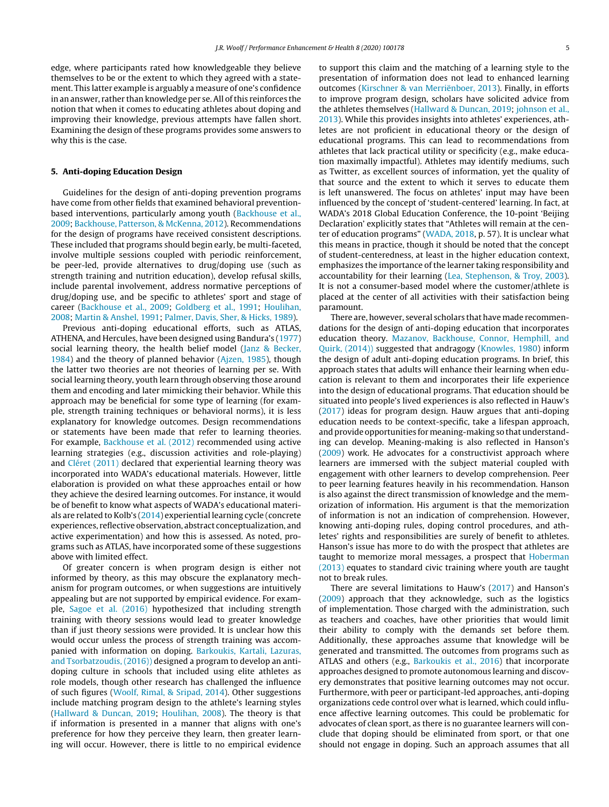edge, where participants rated how knowledgeable they believe themselves to be or the extent to which they agreed with a statement. This latter example is arguably a measure of one's confidence in an answer, rather than knowledge per se. All of this reinforces the notion that when it comes to educating athletes about doping and improving their knowledge, previous attempts have fallen short. Examining the design of these programs provides some answers to why this is the case.

#### **5. Anti-doping Education Design**

Guidelines for the design of anti-doping prevention programs have come from other fields that examined behavioral preventionbased interventions, particularly among youth [\(Backhouse](#page-7-0) et [al.,](#page-7-0) [2009;](#page-7-0) [Backhouse,](#page-7-0) [Patterson,](#page-7-0) [&](#page-7-0) [McKenna,](#page-7-0) [2012\).](#page-7-0) Recommendations for the design of programs have received consistent descriptions. These included that programs should begin early, be multi-faceted, involve multiple sessions coupled with periodic reinforcement, be peer-led, provide alternatives to drug/doping use (such as strength training and nutrition education), develop refusal skills, include parental involvement, address normative perceptions of drug/doping use, and be specific to athletes' sport and stage of career [\(Backhouse](#page-7-0) et [al.,](#page-7-0) [2009;](#page-7-0) [Goldberg](#page-7-0) et [al.,](#page-7-0) [1991;](#page-7-0) [Houlihan,](#page-7-0) [2008;](#page-7-0) [Martin](#page-8-0) [&](#page-8-0) [Anshel,](#page-8-0) [1991;](#page-8-0) [Palmer,](#page-8-0) [Davis,](#page-8-0) [Sher,](#page-8-0) [&](#page-8-0) [Hicks,](#page-8-0) [1989\).](#page-8-0)

Previous anti-doping educational efforts, such as ATLAS, ATHENA, and Hercules, have been designed using Bandura's [\(1977\)](#page-7-0) social learning theory, the health belief model ([Janz](#page-7-0) [&](#page-7-0) [Becker,](#page-7-0) [1984\)](#page-7-0) and the theory of planned behavior [\(Ajzen,](#page-7-0) [1985\),](#page-7-0) though the latter two theories are not theories of learning per se. With social learning theory, youth learn through observing those around them and encoding and later mimicking their behavior. While this approach may be beneficial for some type of learning (for example, strength training techniques or behavioral norms), it is less explanatory for knowledge outcomes. Design recommendations or statements have been made that refer to learning theories. For example, [Backhouse](#page-7-0) et [al.](#page-7-0) [\(2012\)](#page-7-0) recommended using active learning strategies (e.g., discussion activities and role-playing) and [Cléret](#page-7-0) [\(2011\)](#page-7-0) declared that experiential learning theory was incorporated into WADA's educational materials. However, little elaboration is provided on what these approaches entail or how they achieve the desired learning outcomes. For instance, it would be of benefit to know what aspects of WADA's educational materials are related to Kolb's [\(2014\)](#page-7-0) experiential learning cycle (concrete experiences, reflective observation, abstract conceptualization, and active experimentation) and how this is assessed. As noted, programs such as ATLAS, have incorporated some of these suggestions above with limited effect.

Of greater concern is when program design is either not informed by theory, as this may obscure the explanatory mechanism for program outcomes, or when suggestions are intuitively appealing but are not supported by empirical evidence. For example, [Sagoe](#page-8-0) et [al.](#page-8-0) [\(2016\)](#page-8-0) hypothesized that including strength training with theory sessions would lead to greater knowledge than if just theory sessions were provided. It is unclear how this would occur unless the process of strength training was accompanied with information on doping. [Barkoukis,](#page-7-0) [Kartali,](#page-7-0) [Lazuras,](#page-7-0) [and](#page-7-0) [Tsorbatzoudis,](#page-7-0) [\(2016\)\)](#page-7-0) designed a program to develop an antidoping culture in schools that included using elite athletes as role models, though other research has challenged the influence of such figures [\(Woolf,](#page-8-0) [Rimal,](#page-8-0) [&](#page-8-0) [Sripad,](#page-8-0) [2014\).](#page-8-0) Other suggestions include matching program design to the athlete's learning styles ([Hallward](#page-7-0) [&](#page-7-0) [Duncan,](#page-7-0) [2019;](#page-7-0) [Houlihan,](#page-7-0) [2008\).](#page-7-0) The theory is that if information is presented in a manner that aligns with one's preference for how they perceive they learn, then greater learning will occur. However, there is little to no empirical evidence

to support this claim and the matching of a learning style to the presentation of information does not lead to enhanced learning outcomes [\(Kirschner](#page-7-0) [&](#page-7-0) [van](#page-7-0) [Merriënboer,](#page-7-0) [2013\).](#page-7-0) Finally, in efforts to improve program design, scholars have solicited advice from the athletes themselves ([Hallward](#page-7-0) [&](#page-7-0) [Duncan,](#page-7-0) [2019;](#page-7-0) [johnson](#page-7-0) et [al.,](#page-7-0) [2013\).](#page-7-0) While this provides insights into athletes' experiences, athletes are not proficient in educational theory or the design of educational programs. This can lead to recommendations from athletes that lack practical utility or specificity (e.g., make education maximally impactful). Athletes may identify mediums, such as Twitter, as excellent sources of information, yet the quality of that source and the extent to which it serves to educate them is left unanswered. The focus on athletes' input may have been influenced by the concept of 'student-centered' learning. In fact, at WADA's 2018 Global Education Conference, the 10-point 'Beijing Declaration' explicitly states that "Athletes will remain at the center of education programs" ([WADA,](#page-8-0) [2018,](#page-8-0) p. 57). It is unclear what this means in practice, though it should be noted that the concept of student-centeredness, at least in the higher education context, emphasizes the importance of the learner taking responsibility and accountability for their learning ([Lea,](#page-7-0) [Stephenson,](#page-7-0) [&](#page-7-0) [Troy,](#page-7-0) [2003\).](#page-7-0) It is not a consumer-based model where the customer/athlete is placed at the center of all activities with their satisfaction being paramount.

There are, however, several scholars that have made recommendations for the design of anti-doping education that incorporates education theory. [Mazanov,](#page-8-0) [Backhouse,](#page-8-0) [Connor,](#page-8-0) [Hemphill,](#page-8-0) [and](#page-8-0) [Quirk,](#page-8-0) [\(2014\)\)](#page-8-0) suggested that andragogy [\(Knowles,](#page-7-0) [1980\)](#page-7-0) inform the design of adult anti-doping education programs. In brief, this approach states that adults will enhance their learning when education is relevant to them and incorporates their life experience into the design of educational programs. That education should be situated into people's lived experiences is also reflected in Hauw's [\(2017\)](#page-7-0) ideas for program design. Hauw argues that anti-doping education needs to be context-specific, take a lifespan approach, and provide opportunities for meaning-making so that understanding can develop. Meaning-making is also reflected in Hanson's [\(2009\)](#page-7-0) work. He advocates for a constructivist approach where learners are immersed with the subject material coupled with engagement with other learners to develop comprehension. Peer to peer learning features heavily in his recommendation. Hanson is also against the direct transmission of knowledge and the memorization of information. His argument is that the memorization of information is not an indication of comprehension. However, knowing anti-doping rules, doping control procedures, and athletes' rights and responsibilities are surely of benefit to athletes. Hanson's issue has more to do with the prospect that athletes are taught to memorize moral messages, a prospect that [Hoberman](#page-7-0) [\(2013\)](#page-7-0) equates to standard civic training where youth are taught not to break rules.

There are several limitations to Hauw's ([2017\)](#page-7-0) and Hanson's [\(2009\)](#page-7-0) approach that they acknowledge, such as the logistics of implementation. Those charged with the administration, such as teachers and coaches, have other priorities that would limit their ability to comply with the demands set before them. Additionally, these approaches assume that knowledge will be generated and transmitted. The outcomes from programs such as ATLAS and others (e.g., [Barkoukis](#page-7-0) et [al.,](#page-7-0) [2016\)](#page-7-0) that incorporate approaches designed to promote autonomous learning and discovery demonstrates that positive learning outcomes may not occur. Furthermore, with peer or participant-led approaches, anti-doping organizations cede control over what is learned, which could influence affective learning outcomes. This could be problematic for advocates of clean sport, as there is no guarantee learners will conclude that doping should be eliminated from sport, or that one should not engage in doping. Such an approach assumes that all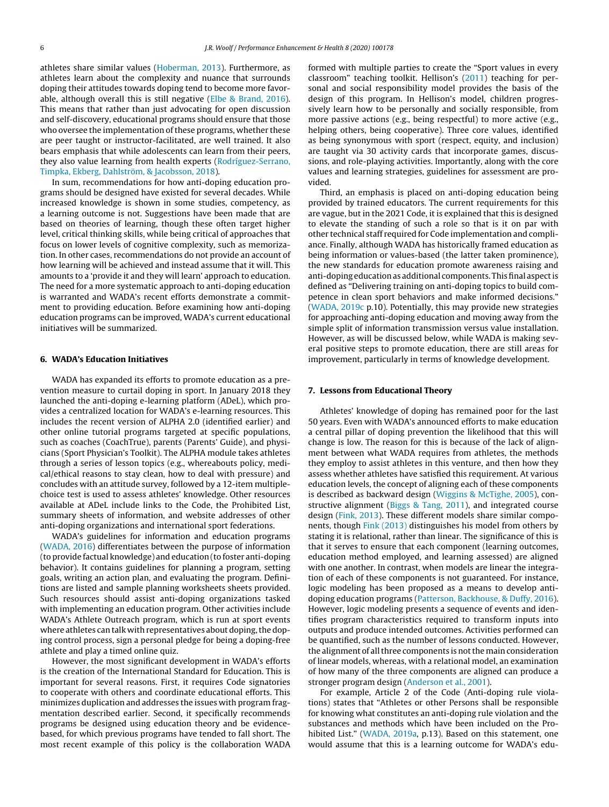athletes share similar values [\(Hoberman,](#page-7-0) [2013\).](#page-7-0) Furthermore, as athletes learn about the complexity and nuance that surrounds doping their attitudes towards doping tend to become more favorable, although overall this is still negative ([Elbe](#page-7-0) [&](#page-7-0) [Brand,](#page-7-0) [2016\).](#page-7-0) This means that rather than just advocating for open discussion and self-discovery, educational programs should ensure that those who oversee the implementation of these programs, whether these are peer taught or instructor-facilitated, are well trained. It also bears emphasis that while adolescents can learn from their peers, they also value learning from health experts ([Rodríguez-Serrano,](#page-8-0) [Timpka,](#page-8-0) [Ekberg,](#page-8-0) [Dahlström,](#page-8-0) [&](#page-8-0) [Jacobsson,](#page-8-0) [2018\).](#page-8-0)

In sum, recommendations for how anti-doping education programs should be designed have existed for several decades. While increased knowledge is shown in some studies, competency, as a learning outcome is not. Suggestions have been made that are based on theories of learning, though these often target higher level, critical thinking skills, while being critical of approaches that focus on lower levels of cognitive complexity, such as memorization. In other cases, recommendations do not provide an account of how learning will be achieved and instead assume that it will. This amounts to a 'provide it and they will learn' approach to education. The need for a more systematic approach to anti-doping education is warranted and WADA's recent efforts demonstrate a commitment to providing education. Before examining how anti-doping education programs can be improved, WADA's current educational initiatives will be summarized.

#### **6. WADA's Education Initiatives**

WADA has expanded its efforts to promote education as a prevention measure to curtail doping in sport. In January 2018 they launched the anti-doping e-learning platform (ADeL), which provides a centralized location for WADA's e-learning resources. This includes the recent version of ALPHA 2.0 (identified earlier) and other online tutorial programs targeted at specific populations, such as coaches (CoachTrue), parents (Parents' Guide), and physicians (Sport Physician's Toolkit). The ALPHA module takes athletes through a series of lesson topics (e.g., whereabouts policy, medical/ethical reasons to stay clean, how to deal with pressure) and concludes with an attitude survey, followed by a 12-item multiplechoice test is used to assess athletes' knowledge. Other resources available at ADeL include links to the Code, the Prohibited List, summary sheets of information, and website addresses of other anti-doping organizations and international sport federations.

WADA's guidelines for information and education programs ([WADA,](#page-8-0) [2016\)](#page-8-0) differentiates between the purpose of information (to provide factual knowledge) and education (to foster anti-doping behavior). It contains guidelines for planning a program, setting goals, writing an action plan, and evaluating the program. Definitions are listed and sample planning worksheets sheets provided. Such resources should assist anti-doping organizations tasked with implementing an education program. Other activities include WADA's Athlete Outreach program, which is run at sport events where athletes can talk with representatives about doping, the doping control process, sign a personal pledge for being a doping-free athlete and play a timed online quiz.

However, the most significant development in WADA's efforts is the creation of the International Standard for Education. This is important for several reasons. First, it requires Code signatories to cooperate with others and coordinate educational efforts. This minimizes duplication and addresses the issues with program fragmentation described earlier. Second, it specifically recommends programs be designed using education theory and be evidencebased, for which previous programs have tended to fall short. The most recent example of this policy is the collaboration WADA

formed with multiple parties to create the "Sport values in every classroom" teaching toolkit. Hellison's [\(2011\)](#page-7-0) teaching for personal and social responsibility model provides the basis of the design of this program. In Hellison's model, children progressively learn how to be personally and socially responsible, from more passive actions (e.g., being respectful) to more active (e.g., helping others, being cooperative). Three core values, identified as being synonymous with sport (respect, equity, and inclusion) are taught via 30 activity cards that incorporate games, discussions, and role-playing activities. Importantly, along with the core values and learning strategies, guidelines for assessment are provided.

Third, an emphasis is placed on anti-doping education being provided by trained educators. The current requirements for this are vague, but in the 2021 Code, it is explained that this is designed to elevate the standing of such a role so that is it on par with other technical staff required for Code implementation and compliance. Finally, although WADA has historically framed education as being information or values-based (the latter taken prominence), the new standards for education promote awareness raising and anti-doping education as additional components. This final aspect is defined as "Delivering training on anti-doping topics to build competence in clean sport behaviors and make informed decisions." [\(WADA,](#page-8-0) [2019c](#page-8-0) p.10). Potentially, this may provide new strategies for approaching anti-doping education and moving away from the simple split of information transmission versus value installation. However, as will be discussed below, while WADA is making several positive steps to promote education, there are still areas for improvement, particularly in terms of knowledge development.

#### **7. Lessons from Educational Theory**

Athletes' knowledge of doping has remained poor for the last 50 years. Even with WADA's announced efforts to make education a central pillar of doping prevention the likelihood that this will change is low. The reason for this is because of the lack of alignment between what WADA requires from athletes, the methods they employ to assist athletes in this venture, and then how they assess whether athletes have satisfied this requirement. At various education levels, the concept of aligning each of these components is described as backward design [\(Wiggins](#page-8-0) [&](#page-8-0) [McTighe,](#page-8-0) [2005\),](#page-8-0) constructive alignment ([Biggs](#page-7-0) [&](#page-7-0) [Tang,](#page-7-0) [2011\),](#page-7-0) and integrated course design [\(Fink,](#page-7-0) [2013\).](#page-7-0) These different models share similar components, though [Fink](#page-7-0) [\(2013\)](#page-7-0) distinguishes his model from others by stating it is relational, rather than linear. The significance of this is that it serves to ensure that each component (learning outcomes, education method employed, and learning assessed) are aligned with one another. In contrast, when models are linear the integration of each of these components is not guaranteed. For instance, logic modeling has been proposed as a means to develop antidoping education programs [\(Patterson,](#page-8-0) [Backhouse,](#page-8-0) [&](#page-8-0) [Duffy,](#page-8-0) [2016\).](#page-8-0) However, logic modeling presents a sequence of events and identifies program characteristics required to transform inputs into outputs and produce intended outcomes. Activities performed can be quantified, such as the number of lessons conducted. However, the alignment of all three components is not the main consideration of linear models, whereas, with a relational model, an examination of how many of the three components are aligned can produce a stronger program design ([Anderson](#page-7-0) et [al.,](#page-7-0) [2001\).](#page-7-0)

For example, Article 2 of the Code (Anti-doping rule violations) states that "Athletes or other Persons shall be responsible for knowing what constitutes an anti-doping rule violation and the substances and methods which have been included on the Pro-hibited List." ([WADA,](#page-8-0) [2019a,](#page-8-0) p.13). Based on this statement, one would assume that this is a learning outcome for WADA's edu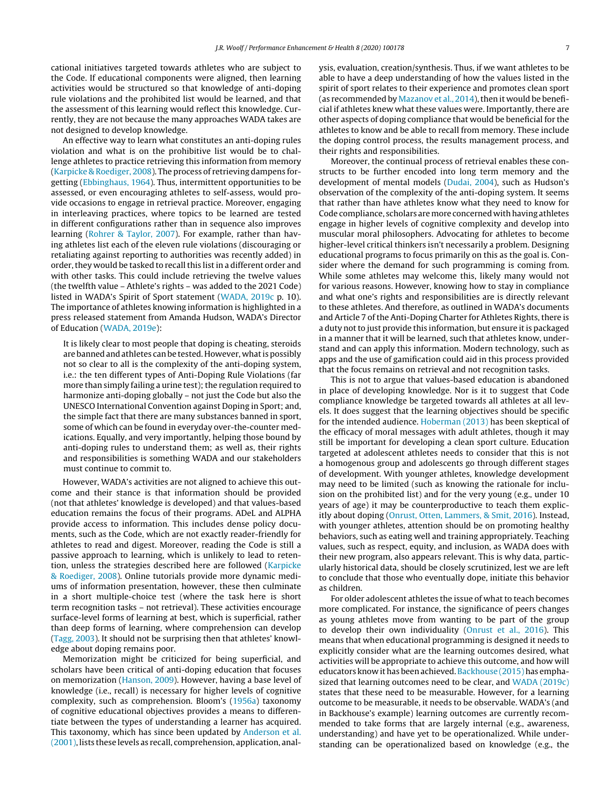cational initiatives targeted towards athletes who are subject to the Code. If educational components were aligned, then learning activities would be structured so that knowledge of anti-doping rule violations and the prohibited list would be learned, and that the assessment of this learning would reflect this knowledge. Currently, they are not because the many approaches WADA takes are not designed to develop knowledge.

An effective way to learn what constitutes an anti-doping rules violation and what is on the prohibitive list would be to challenge athletes to practice retrieving this information from memory ([Karpicke](#page-7-0) [&](#page-7-0) [Roediger,](#page-7-0) [2008\).](#page-7-0) The process of retrieving dampens forgetting ([Ebbinghaus,](#page-7-0) [1964\).](#page-7-0) Thus, intermittent opportunities to be assessed, or even encouraging athletes to self-assess, would provide occasions to engage in retrieval practice. Moreover, engaging in interleaving practices, where topics to be learned are tested in different configurations rather than in sequence also improves learning ([Rohrer](#page-8-0) [&](#page-8-0) [Taylor,](#page-8-0) [2007\).](#page-8-0) For example, rather than having athletes list each of the eleven rule violations (discouraging or retaliating against reporting to authorities was recently added) in order, they would be tasked to recall this list in a different order and with other tasks. This could include retrieving the twelve values (the twelfth value – Athlete's rights – was added to the 2021 Code) listed in WADA's Spirit of Sport statement [\(WADA,](#page-8-0) [2019c](#page-8-0) p. 10). The importance of athletes knowing information is highlighted in a press released statement from Amanda Hudson, WADA's Director of Education ([WADA,](#page-8-0) [2019e\):](#page-8-0)

It is likely clear to most people that doping is cheating, steroids are banned and athletes can be tested. However, what is possibly not so clear to all is the complexity of the anti-doping system, i.e.: the ten different types of Anti-Doping Rule Violations (far more than simply failing a urine test); the regulation required to harmonize anti-doping globally – not just the Code but also the UNESCO International Convention against Doping in Sport; and, the simple fact that there are many substances banned in sport, some of which can be found in everyday over-the-counter medications. Equally, and very importantly, helping those bound by anti-doping rules to understand them; as well as, their rights and responsibilities is something WADA and our stakeholders must continue to commit to.

However, WADA's activities are not aligned to achieve this outcome and their stance is that information should be provided (not that athletes' knowledge is developed) and that values-based education remains the focus of their programs. ADeL and ALPHA provide access to information. This includes dense policy documents, such as the Code, which are not exactly reader-friendly for athletes to read and digest. Moreover, reading the Code is still a passive approach to learning, which is unlikely to lead to retention, unless the strategies described here are followed ([Karpicke](#page-7-0) [&](#page-7-0) [Roediger,](#page-7-0) [2008\).](#page-7-0) Online tutorials provide more dynamic mediums of information presentation, however, these then culminate in a short multiple-choice test (where the task here is short term recognition tasks – not retrieval). These activities encourage surface-level forms of learning at best, which is superficial, rather than deep forms of learning, where comprehension can develop ([Tagg,](#page-8-0) [2003\).](#page-8-0) It should not be surprising then that athletes' knowledge about doping remains poor.

Memorization might be criticized for being superficial, and scholars have been critical of anti-doping education that focuses on memorization [\(Hanson,](#page-7-0) [2009\).](#page-7-0) However, having a base level of knowledge (i.e., recall) is necessary for higher levels of cognitive complexity, such as comprehension. Bloom's ([1956a\)](#page-7-0) taxonomy of cognitive educational objectives provides a means to differentiate between the types of understanding a learner has acquired. This taxonomy, which has since been updated by [Anderson](#page-7-0) et [al.](#page-7-0) [\(2001\),](#page-7-0) lists these levels as recall, comprehension, application, analysis, evaluation, creation/synthesis. Thus, if we want athletes to be able to have a deep understanding of how the values listed in the spirit of sport relates to their experience and promotes clean sport (as recommended by [Mazanov](#page-8-0) et [al.,](#page-8-0) [2014\),](#page-8-0) then it would be beneficial if athletes knew what these values were. Importantly, there are other aspects of doping compliance that would be beneficial for the athletes to know and be able to recall from memory. These include the doping control process, the results management process, and their rights and responsibilities.

Moreover, the continual process of retrieval enables these constructs to be further encoded into long term memory and the development of mental models [\(Dudai,](#page-7-0) [2004\),](#page-7-0) such as Hudson's observation of the complexity of the anti-doping system. It seems that rather than have athletes know what they need to know for Code compliance, scholars are more concerned with having athletes engage in higher levels of cognitive complexity and develop into muscular moral philosophers. Advocating for athletes to become higher-level critical thinkers isn't necessarily a problem. Designing educational programs to focus primarily on this as the goal is. Consider where the demand for such programming is coming from. While some athletes may welcome this, likely many would not for various reasons. However, knowing how to stay in compliance and what one's rights and responsibilities are is directly relevant to these athletes. And therefore, as outlined in WADA's documents and Article 7 of the Anti-Doping Charter for Athletes Rights, there is a duty not to just provide this information, but ensure it is packaged in a manner that it will be learned, such that athletes know, understand and can apply this information. Modern technology, such as apps and the use of gamification could aid in this process provided that the focus remains on retrieval and not recognition tasks.

This is not to argue that values-based education is abandoned in place of developing knowledge. Nor is it to suggest that Code compliance knowledge be targeted towards all athletes at all levels. It does suggest that the learning objectives should be specific for the intended audience. [Hoberman](#page-7-0) [\(2013\)](#page-7-0) has been skeptical of the efficacy of moral messages with adult athletes, though it may still be important for developing a clean sport culture. Education targeted at adolescent athletes needs to consider that this is not a homogenous group and adolescents go through different stages of development. With younger athletes, knowledge development may need to be limited (such as knowing the rationale for inclusion on the prohibited list) and for the very young (e.g., under 10 years of age) it may be counterproductive to teach them explicitly about doping ([Onrust,](#page-8-0) [Otten,](#page-8-0) [Lammers,](#page-8-0) [&](#page-8-0) [Smit,](#page-8-0) [2016\).](#page-8-0) Instead, with younger athletes, attention should be on promoting healthy behaviors, such as eating well and training appropriately. Teaching values, such as respect, equity, and inclusion, as WADA does with their new program, also appears relevant. This is why data, particularly historical data, should be closely scrutinized, lest we are left to conclude that those who eventually dope, initiate this behavior as children.

For older adolescent athletes the issue of what to teach becomes more complicated. For instance, the significance of peers changes as young athletes move from wanting to be part of the group to develop their own individuality ([Onrust](#page-8-0) et [al.,](#page-8-0) [2016\).](#page-8-0) This means that when educational programming is designed it needs to explicitly consider what are the learning outcomes desired, what activities will be appropriate to achieve this outcome, and how will educators know it has been achieved. [Backhouse](#page-7-0) (2015) has emphasized that learning outcomes need to be clear, and [WADA](#page-8-0) [\(2019c\)](#page-8-0) states that these need to be measurable. However, for a learning outcome to be measurable, it needs to be observable. WADA's (and in Backhouse's example) learning outcomes are currently recommended to take forms that are largely internal (e.g., awareness, understanding) and have yet to be operationalized. While understanding can be operationalized based on knowledge (e.g., the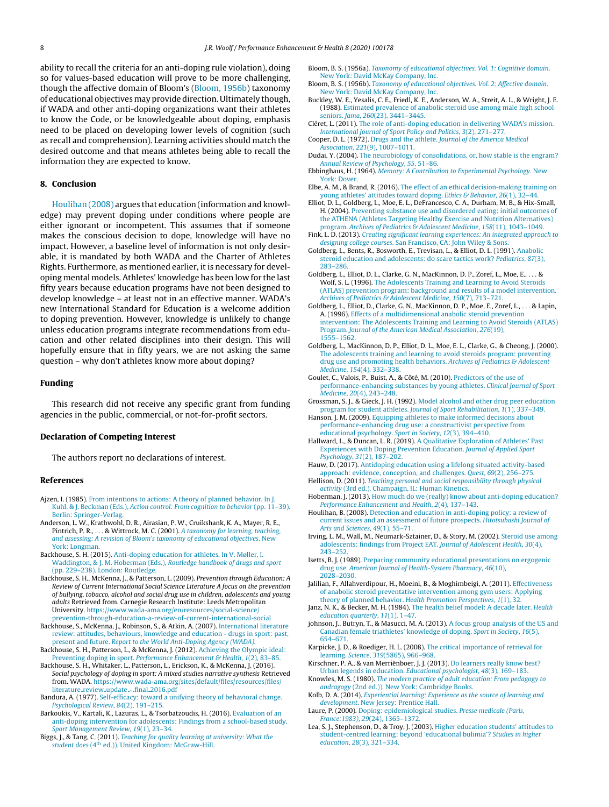<span id="page-7-0"></span>ability to recall the criteria for an anti-doping rule violation), doing so for values-based education will prove to be more challenging, though the affective domain of Bloom's (Bloom, 1956b) taxonomy of educational objectives may provide direction. Ultimately though, if WADA and other anti-doping organizations want their athletes to know the Code, or be knowledgeable about doping, emphasis need to be placed on developing lower levels of cognition (such as recall and comprehension). Learning activities should match the desired outcome and that means athletes being able to recall the information they are expected to know.

#### **8. Conclusion**

Houlihan (2008) argues that education (information and knowledge) may prevent doping under conditions where people are either ignorant or incompetent. This assumes that if someone makes the conscious decision to dope, knowledge will have no impact. However, a baseline level of information is not only desirable, it is mandated by both WADA and the Charter of Athletes Rights. Furthermore, as mentioned earlier, it is necessary for developing mental models. Athletes' knowledge has been low for the last fifty years because education programs have not been designed to develop knowledge – at least not in an effective manner. WADA's new International Standard for Education is a welcome addition to doping prevention. However, knowledge is unlikely to change unless education programs integrate recommendations from education and other related disciplines into their design. This will hopefully ensure that in fifty years, we are not asking the same question – why don't athletes know more about doping?

#### **Funding**

This research did not receive any specific grant from funding agencies in the public, commercial, or not-for-profit sectors.

#### **Declaration of Competing Interest**

The authors report no declarations of interest.

#### **References**

- Ajzen, I. (1985). [From](http://refhub.elsevier.com/S2211-2669(20)30022-0/sbref0005) [intentions](http://refhub.elsevier.com/S2211-2669(20)30022-0/sbref0005) [to](http://refhub.elsevier.com/S2211-2669(20)30022-0/sbref0005) [actions:](http://refhub.elsevier.com/S2211-2669(20)30022-0/sbref0005) [A](http://refhub.elsevier.com/S2211-2669(20)30022-0/sbref0005) [theory](http://refhub.elsevier.com/S2211-2669(20)30022-0/sbref0005) [of](http://refhub.elsevier.com/S2211-2669(20)30022-0/sbref0005) [planned](http://refhub.elsevier.com/S2211-2669(20)30022-0/sbref0005) [behavior.](http://refhub.elsevier.com/S2211-2669(20)30022-0/sbref0005) [In](http://refhub.elsevier.com/S2211-2669(20)30022-0/sbref0005) [J.](http://refhub.elsevier.com/S2211-2669(20)30022-0/sbref0005) [Kuhl,](http://refhub.elsevier.com/S2211-2669(20)30022-0/sbref0005) [&](http://refhub.elsevier.com/S2211-2669(20)30022-0/sbref0005) [J.](http://refhub.elsevier.com/S2211-2669(20)30022-0/sbref0005) [Beckman](http://refhub.elsevier.com/S2211-2669(20)30022-0/sbref0005) [\(Eds.\),](http://refhub.elsevier.com/S2211-2669(20)30022-0/sbref0005) [Action](http://refhub.elsevier.com/S2211-2669(20)30022-0/sbref0005) [control:](http://refhub.elsevier.com/S2211-2669(20)30022-0/sbref0005) [From](http://refhub.elsevier.com/S2211-2669(20)30022-0/sbref0005) [cognition](http://refhub.elsevier.com/S2211-2669(20)30022-0/sbref0005) [to](http://refhub.elsevier.com/S2211-2669(20)30022-0/sbref0005) [behavior](http://refhub.elsevier.com/S2211-2669(20)30022-0/sbref0005) [\(pp.](http://refhub.elsevier.com/S2211-2669(20)30022-0/sbref0005) [11](http://refhub.elsevier.com/S2211-2669(20)30022-0/sbref0005)–[39\).](http://refhub.elsevier.com/S2211-2669(20)30022-0/sbref0005) [Berlin:](http://refhub.elsevier.com/S2211-2669(20)30022-0/sbref0005) [Springer-Verlag.](http://refhub.elsevier.com/S2211-2669(20)30022-0/sbref0005)
- Anderson, L. W., Krathwohl, D. R., Airasian, P. W., Cruikshank, K. A., Mayer, R. E., Pintrich, P. R., . . . & Wittrock, M. C. (2001). [A](http://refhub.elsevier.com/S2211-2669(20)30022-0/sbref0010) [taxonomy](http://refhub.elsevier.com/S2211-2669(20)30022-0/sbref0010) [for](http://refhub.elsevier.com/S2211-2669(20)30022-0/sbref0010) [learning,](http://refhub.elsevier.com/S2211-2669(20)30022-0/sbref0010) [teaching,](http://refhub.elsevier.com/S2211-2669(20)30022-0/sbref0010) [and](http://refhub.elsevier.com/S2211-2669(20)30022-0/sbref0010) [assessing:](http://refhub.elsevier.com/S2211-2669(20)30022-0/sbref0010) [A](http://refhub.elsevier.com/S2211-2669(20)30022-0/sbref0010) [revision](http://refhub.elsevier.com/S2211-2669(20)30022-0/sbref0010) [of](http://refhub.elsevier.com/S2211-2669(20)30022-0/sbref0010) [Bloom's](http://refhub.elsevier.com/S2211-2669(20)30022-0/sbref0010) [taxonomy](http://refhub.elsevier.com/S2211-2669(20)30022-0/sbref0010) [of](http://refhub.elsevier.com/S2211-2669(20)30022-0/sbref0010) [educational](http://refhub.elsevier.com/S2211-2669(20)30022-0/sbref0010) [objectives](http://refhub.elsevier.com/S2211-2669(20)30022-0/sbref0010)[.](http://refhub.elsevier.com/S2211-2669(20)30022-0/sbref0010) [New](http://refhub.elsevier.com/S2211-2669(20)30022-0/sbref0010) [York:](http://refhub.elsevier.com/S2211-2669(20)30022-0/sbref0010) [Longman.](http://refhub.elsevier.com/S2211-2669(20)30022-0/sbref0010)
- Backhouse, S. H. (2015). [Anti-doping](http://refhub.elsevier.com/S2211-2669(20)30022-0/sbref0015) [education](http://refhub.elsevier.com/S2211-2669(20)30022-0/sbref0015) [for](http://refhub.elsevier.com/S2211-2669(20)30022-0/sbref0015) [athletes.](http://refhub.elsevier.com/S2211-2669(20)30022-0/sbref0015) [In](http://refhub.elsevier.com/S2211-2669(20)30022-0/sbref0015) [V.](http://refhub.elsevier.com/S2211-2669(20)30022-0/sbref0015) [Møller,](http://refhub.elsevier.com/S2211-2669(20)30022-0/sbref0015) [I.](http://refhub.elsevier.com/S2211-2669(20)30022-0/sbref0015) [Waddington,](http://refhub.elsevier.com/S2211-2669(20)30022-0/sbref0015) [&](http://refhub.elsevier.com/S2211-2669(20)30022-0/sbref0015) [J.](http://refhub.elsevier.com/S2211-2669(20)30022-0/sbref0015) [M.](http://refhub.elsevier.com/S2211-2669(20)30022-0/sbref0015) [Hoberman](http://refhub.elsevier.com/S2211-2669(20)30022-0/sbref0015) [\(Eds.\),](http://refhub.elsevier.com/S2211-2669(20)30022-0/sbref0015) [Routledge](http://refhub.elsevier.com/S2211-2669(20)30022-0/sbref0015) [handbook](http://refhub.elsevier.com/S2211-2669(20)30022-0/sbref0015) [of](http://refhub.elsevier.com/S2211-2669(20)30022-0/sbref0015) [drugs](http://refhub.elsevier.com/S2211-2669(20)30022-0/sbref0015) [and](http://refhub.elsevier.com/S2211-2669(20)30022-0/sbref0015) [sport](http://refhub.elsevier.com/S2211-2669(20)30022-0/sbref0015) [\(pp.](http://refhub.elsevier.com/S2211-2669(20)30022-0/sbref0015) [229–238\).](http://refhub.elsevier.com/S2211-2669(20)30022-0/sbref0015) [London:](http://refhub.elsevier.com/S2211-2669(20)30022-0/sbref0015) [Routledge.](http://refhub.elsevier.com/S2211-2669(20)30022-0/sbref0015)
- Backhouse, S. H., McKenna, J., & Patterson, L. (2009). Prevention through Education: A Review of Current International Social Science Literature A focus on the prevention of bullying, tobacco, alcohol and social drug use in children, adolescents and young adults Retrieved from. Carnegie Research Institute: Leeds Metropolitan University. [https://www.wada-ama.org/en/resources/social-science/](https://www.wada-ama.org/en/resources/social-science/prevention-through-education-a-review-of-current-international-social)
- [prevention-through-education-a-review-of-current-international-social](https://www.wada-ama.org/en/resources/social-science/prevention-through-education-a-review-of-current-international-social) Backhouse, S., McKenna, J., Robinson, S., & Atkin, A. (2007). [International](http://refhub.elsevier.com/S2211-2669(20)30022-0/sbref0025) [literature](http://refhub.elsevier.com/S2211-2669(20)30022-0/sbref0025) [review:](http://refhub.elsevier.com/S2211-2669(20)30022-0/sbref0025) [attitudes,](http://refhub.elsevier.com/S2211-2669(20)30022-0/sbref0025) [behaviours,](http://refhub.elsevier.com/S2211-2669(20)30022-0/sbref0025) [knowledge](http://refhub.elsevier.com/S2211-2669(20)30022-0/sbref0025) [and](http://refhub.elsevier.com/S2211-2669(20)30022-0/sbref0025) [education](http://refhub.elsevier.com/S2211-2669(20)30022-0/sbref0025) [-](http://refhub.elsevier.com/S2211-2669(20)30022-0/sbref0025) [drugs](http://refhub.elsevier.com/S2211-2669(20)30022-0/sbref0025) [in](http://refhub.elsevier.com/S2211-2669(20)30022-0/sbref0025) [sport:](http://refhub.elsevier.com/S2211-2669(20)30022-0/sbref0025) [past,](http://refhub.elsevier.com/S2211-2669(20)30022-0/sbref0025) [present](http://refhub.elsevier.com/S2211-2669(20)30022-0/sbref0025) [and](http://refhub.elsevier.com/S2211-2669(20)30022-0/sbref0025) [future.](http://refhub.elsevier.com/S2211-2669(20)30022-0/sbref0025) [Report](http://refhub.elsevier.com/S2211-2669(20)30022-0/sbref0025) [to](http://refhub.elsevier.com/S2211-2669(20)30022-0/sbref0025) [the](http://refhub.elsevier.com/S2211-2669(20)30022-0/sbref0025) [World](http://refhub.elsevier.com/S2211-2669(20)30022-0/sbref0025) [Anti-Doping](http://refhub.elsevier.com/S2211-2669(20)30022-0/sbref0025) [Agency](http://refhub.elsevier.com/S2211-2669(20)30022-0/sbref0025) [\(WADA\)](http://refhub.elsevier.com/S2211-2669(20)30022-0/sbref0025)[.](http://refhub.elsevier.com/S2211-2669(20)30022-0/sbref0025)
- Backhouse, S. H., Patterson, L., & McKenna, J. (2012). [Achieving](http://refhub.elsevier.com/S2211-2669(20)30022-0/sbref0030) [the](http://refhub.elsevier.com/S2211-2669(20)30022-0/sbref0030) [Olympic](http://refhub.elsevier.com/S2211-2669(20)30022-0/sbref0030) [ideal:](http://refhub.elsevier.com/S2211-2669(20)30022-0/sbref0030) [Preventing](http://refhub.elsevier.com/S2211-2669(20)30022-0/sbref0030) [doping](http://refhub.elsevier.com/S2211-2669(20)30022-0/sbref0030) [in](http://refhub.elsevier.com/S2211-2669(20)30022-0/sbref0030) [sport.](http://refhub.elsevier.com/S2211-2669(20)30022-0/sbref0030) [Performance](http://refhub.elsevier.com/S2211-2669(20)30022-0/sbref0030) [Enhancement](http://refhub.elsevier.com/S2211-2669(20)30022-0/sbref0030) [&](http://refhub.elsevier.com/S2211-2669(20)30022-0/sbref0030) [Health](http://refhub.elsevier.com/S2211-2669(20)30022-0/sbref0030)[,](http://refhub.elsevier.com/S2211-2669(20)30022-0/sbref0030) [1](http://refhub.elsevier.com/S2211-2669(20)30022-0/sbref0030)[\(2\),](http://refhub.elsevier.com/S2211-2669(20)30022-0/sbref0030) 83-85.
- Backhouse, S. H., Whitaker, L., Patterson, L., Erickson, K., & McKenna, J. (2016). Social psychology of doping in sport: A mixed studies narrative synthesis Retrieved from. WADA. [https://www.wada-ama.org/sites/default/files/resources/files/](https://www.wada-ama.org/sites/default/files/resources/files/literature_review_update_-_final_2016.pdf) [literature](https://www.wada-ama.org/sites/default/files/resources/files/literature_review_update_-_final_2016.pdf)\_[review](https://www.wada-ama.org/sites/default/files/resources/files/literature_review_update_-_final_2016.pdf)\_[update](https://www.wada-ama.org/sites/default/files/resources/files/literature_review_update_-_final_2016.pdf)\_-\_[final](https://www.wada-ama.org/sites/default/files/resources/files/literature_review_update_-_final_2016.pdf)\_[2016.pdf](https://www.wada-ama.org/sites/default/files/resources/files/literature_review_update_-_final_2016.pdf)
- Bandura, A. (1977). [Self-efficacy:](http://refhub.elsevier.com/S2211-2669(20)30022-0/sbref0040) [toward](http://refhub.elsevier.com/S2211-2669(20)30022-0/sbref0040) [a](http://refhub.elsevier.com/S2211-2669(20)30022-0/sbref0040) [unifying](http://refhub.elsevier.com/S2211-2669(20)30022-0/sbref0040) [theory](http://refhub.elsevier.com/S2211-2669(20)30022-0/sbref0040) [of](http://refhub.elsevier.com/S2211-2669(20)30022-0/sbref0040) [behavioral](http://refhub.elsevier.com/S2211-2669(20)30022-0/sbref0040) [change.](http://refhub.elsevier.com/S2211-2669(20)30022-0/sbref0040) [Psychological](http://refhub.elsevier.com/S2211-2669(20)30022-0/sbref0040) [Review](http://refhub.elsevier.com/S2211-2669(20)30022-0/sbref0040)[,](http://refhub.elsevier.com/S2211-2669(20)30022-0/sbref0040) [84](http://refhub.elsevier.com/S2211-2669(20)30022-0/sbref0040)[\(2\),](http://refhub.elsevier.com/S2211-2669(20)30022-0/sbref0040) [191](http://refhub.elsevier.com/S2211-2669(20)30022-0/sbref0040)–[215.](http://refhub.elsevier.com/S2211-2669(20)30022-0/sbref0040)
- Barkoukis, V., Kartali, K., Lazuras, L., & Tsorbatzoudis, H. (2016). [Evaluation](http://refhub.elsevier.com/S2211-2669(20)30022-0/sbref0045) [of](http://refhub.elsevier.com/S2211-2669(20)30022-0/sbref0045) [an](http://refhub.elsevier.com/S2211-2669(20)30022-0/sbref0045) [anti-doping](http://refhub.elsevier.com/S2211-2669(20)30022-0/sbref0045) [intervention](http://refhub.elsevier.com/S2211-2669(20)30022-0/sbref0045) [for](http://refhub.elsevier.com/S2211-2669(20)30022-0/sbref0045) [adolescents:](http://refhub.elsevier.com/S2211-2669(20)30022-0/sbref0045) [Findings](http://refhub.elsevier.com/S2211-2669(20)30022-0/sbref0045) [from](http://refhub.elsevier.com/S2211-2669(20)30022-0/sbref0045) [a](http://refhub.elsevier.com/S2211-2669(20)30022-0/sbref0045) [school-based](http://refhub.elsevier.com/S2211-2669(20)30022-0/sbref0045) [study.](http://refhub.elsevier.com/S2211-2669(20)30022-0/sbref0045) [Sport](http://refhub.elsevier.com/S2211-2669(20)30022-0/sbref0045) [Management](http://refhub.elsevier.com/S2211-2669(20)30022-0/sbref0045) [Review](http://refhub.elsevier.com/S2211-2669(20)30022-0/sbref0045)[,](http://refhub.elsevier.com/S2211-2669(20)30022-0/sbref0045) [19](http://refhub.elsevier.com/S2211-2669(20)30022-0/sbref0045)[\(1\),](http://refhub.elsevier.com/S2211-2669(20)30022-0/sbref0045) [23–34.](http://refhub.elsevier.com/S2211-2669(20)30022-0/sbref0045)
- Biggs, J., & Tang, C. (2011). [Teaching](http://refhub.elsevier.com/S2211-2669(20)30022-0/sbref0050) [for](http://refhub.elsevier.com/S2211-2669(20)30022-0/sbref0050) [quality](http://refhub.elsevier.com/S2211-2669(20)30022-0/sbref0050) [learning](http://refhub.elsevier.com/S2211-2669(20)30022-0/sbref0050) [at](http://refhub.elsevier.com/S2211-2669(20)30022-0/sbref0050) [university:](http://refhub.elsevier.com/S2211-2669(20)30022-0/sbref0050) [What](http://refhub.elsevier.com/S2211-2669(20)30022-0/sbref0050) [the](http://refhub.elsevier.com/S2211-2669(20)30022-0/sbref0050) [student](http://refhub.elsevier.com/S2211-2669(20)30022-0/sbref0050) [does](http://refhub.elsevier.com/S2211-2669(20)30022-0/sbref0050) [\(4th](http://refhub.elsevier.com/S2211-2669(20)30022-0/sbref0050) [ed.\)\).](http://refhub.elsevier.com/S2211-2669(20)30022-0/sbref0050) [United](http://refhub.elsevier.com/S2211-2669(20)30022-0/sbref0050) [Kingdom:](http://refhub.elsevier.com/S2211-2669(20)30022-0/sbref0050) [McGraw-Hill.](http://refhub.elsevier.com/S2211-2669(20)30022-0/sbref0050)
- Bloom, B. S. (1956a). [Taxonomy](http://refhub.elsevier.com/S2211-2669(20)30022-0/sbref0055) [of](http://refhub.elsevier.com/S2211-2669(20)30022-0/sbref0055) [educational](http://refhub.elsevier.com/S2211-2669(20)30022-0/sbref0055) [objectives.](http://refhub.elsevier.com/S2211-2669(20)30022-0/sbref0055) [Vol.](http://refhub.elsevier.com/S2211-2669(20)30022-0/sbref0055) [1:](http://refhub.elsevier.com/S2211-2669(20)30022-0/sbref0055) [Cognitive](http://refhub.elsevier.com/S2211-2669(20)30022-0/sbref0055) [domain](http://refhub.elsevier.com/S2211-2669(20)30022-0/sbref0055). [New](http://refhub.elsevier.com/S2211-2669(20)30022-0/sbref0055) [York:](http://refhub.elsevier.com/S2211-2669(20)30022-0/sbref0055) [David](http://refhub.elsevier.com/S2211-2669(20)30022-0/sbref0055) [McKay](http://refhub.elsevier.com/S2211-2669(20)30022-0/sbref0055) [Company,](http://refhub.elsevier.com/S2211-2669(20)30022-0/sbref0055) [Inc.](http://refhub.elsevier.com/S2211-2669(20)30022-0/sbref0055)
- Bloom, B. S. (1956b). [Taxonomy](http://refhub.elsevier.com/S2211-2669(20)30022-0/sbref0060) [of](http://refhub.elsevier.com/S2211-2669(20)30022-0/sbref0060) [educational](http://refhub.elsevier.com/S2211-2669(20)30022-0/sbref0060) [objectives.](http://refhub.elsevier.com/S2211-2669(20)30022-0/sbref0060) [Vol.](http://refhub.elsevier.com/S2211-2669(20)30022-0/sbref0060) [2:](http://refhub.elsevier.com/S2211-2669(20)30022-0/sbref0060) [Affective](http://refhub.elsevier.com/S2211-2669(20)30022-0/sbref0060) [domain](http://refhub.elsevier.com/S2211-2669(20)30022-0/sbref0060)[.](http://refhub.elsevier.com/S2211-2669(20)30022-0/sbref0060) [New](http://refhub.elsevier.com/S2211-2669(20)30022-0/sbref0060) [York:](http://refhub.elsevier.com/S2211-2669(20)30022-0/sbref0060) [David](http://refhub.elsevier.com/S2211-2669(20)30022-0/sbref0060) [McKay](http://refhub.elsevier.com/S2211-2669(20)30022-0/sbref0060) [Company,](http://refhub.elsevier.com/S2211-2669(20)30022-0/sbref0060) [Inc.](http://refhub.elsevier.com/S2211-2669(20)30022-0/sbref0060)
- Buckley, W. E., Yesalis, C. E., Friedl, K. E., Anderson, W. A., Streit, A. L., & Wright, J. E. (1988). [Estimated](http://refhub.elsevier.com/S2211-2669(20)30022-0/sbref0065) [prevalence](http://refhub.elsevier.com/S2211-2669(20)30022-0/sbref0065) [of](http://refhub.elsevier.com/S2211-2669(20)30022-0/sbref0065) [anabolic](http://refhub.elsevier.com/S2211-2669(20)30022-0/sbref0065) [steroid](http://refhub.elsevier.com/S2211-2669(20)30022-0/sbref0065) [use](http://refhub.elsevier.com/S2211-2669(20)30022-0/sbref0065) [among](http://refhub.elsevier.com/S2211-2669(20)30022-0/sbref0065) [male](http://refhub.elsevier.com/S2211-2669(20)30022-0/sbref0065) [high](http://refhub.elsevier.com/S2211-2669(20)30022-0/sbref0065) [school](http://refhub.elsevier.com/S2211-2669(20)30022-0/sbref0065) [seniors.](http://refhub.elsevier.com/S2211-2669(20)30022-0/sbref0065) [Jama](http://refhub.elsevier.com/S2211-2669(20)30022-0/sbref0065), [260](http://refhub.elsevier.com/S2211-2669(20)30022-0/sbref0065)[\(23\),](http://refhub.elsevier.com/S2211-2669(20)30022-0/sbref0065) [3441](http://refhub.elsevier.com/S2211-2669(20)30022-0/sbref0065)–[3445.](http://refhub.elsevier.com/S2211-2669(20)30022-0/sbref0065)
- Cléret, L. (2011). [The](http://refhub.elsevier.com/S2211-2669(20)30022-0/sbref0070) [role](http://refhub.elsevier.com/S2211-2669(20)30022-0/sbref0070) [of](http://refhub.elsevier.com/S2211-2669(20)30022-0/sbref0070) [anti-doping](http://refhub.elsevier.com/S2211-2669(20)30022-0/sbref0070) [education](http://refhub.elsevier.com/S2211-2669(20)30022-0/sbref0070) [in](http://refhub.elsevier.com/S2211-2669(20)30022-0/sbref0070) [delivering](http://refhub.elsevier.com/S2211-2669(20)30022-0/sbref0070) [WADA's](http://refhub.elsevier.com/S2211-2669(20)30022-0/sbref0070) [mission.](http://refhub.elsevier.com/S2211-2669(20)30022-0/sbref0070) [International](http://refhub.elsevier.com/S2211-2669(20)30022-0/sbref0070) [Journal](http://refhub.elsevier.com/S2211-2669(20)30022-0/sbref0070) [of](http://refhub.elsevier.com/S2211-2669(20)30022-0/sbref0070) [Sport](http://refhub.elsevier.com/S2211-2669(20)30022-0/sbref0070) [Policy](http://refhub.elsevier.com/S2211-2669(20)30022-0/sbref0070) [and](http://refhub.elsevier.com/S2211-2669(20)30022-0/sbref0070) [Politics](http://refhub.elsevier.com/S2211-2669(20)30022-0/sbref0070)[,](http://refhub.elsevier.com/S2211-2669(20)30022-0/sbref0070) [3](http://refhub.elsevier.com/S2211-2669(20)30022-0/sbref0070)[\(2\),](http://refhub.elsevier.com/S2211-2669(20)30022-0/sbref0070) [271](http://refhub.elsevier.com/S2211-2669(20)30022-0/sbref0070)–[277.](http://refhub.elsevier.com/S2211-2669(20)30022-0/sbref0070)
- Cooper, D. L. (1972). [Drugs](http://refhub.elsevier.com/S2211-2669(20)30022-0/sbref0075) [and](http://refhub.elsevier.com/S2211-2669(20)30022-0/sbref0075) [the](http://refhub.elsevier.com/S2211-2669(20)30022-0/sbref0075) [athlete.](http://refhub.elsevier.com/S2211-2669(20)30022-0/sbref0075) [Journal](http://refhub.elsevier.com/S2211-2669(20)30022-0/sbref0075) [of](http://refhub.elsevier.com/S2211-2669(20)30022-0/sbref0075) [the](http://refhub.elsevier.com/S2211-2669(20)30022-0/sbref0075) [America](http://refhub.elsevier.com/S2211-2669(20)30022-0/sbref0075) [Medical](http://refhub.elsevier.com/S2211-2669(20)30022-0/sbref0075) [Association](http://refhub.elsevier.com/S2211-2669(20)30022-0/sbref0075)[,](http://refhub.elsevier.com/S2211-2669(20)30022-0/sbref0075) [221](http://refhub.elsevier.com/S2211-2669(20)30022-0/sbref0075)[\(9\),](http://refhub.elsevier.com/S2211-2669(20)30022-0/sbref0075) [1007–1011.](http://refhub.elsevier.com/S2211-2669(20)30022-0/sbref0075)
- Dudai, Y. (2004). [The](http://refhub.elsevier.com/S2211-2669(20)30022-0/sbref0080) [neurobiology](http://refhub.elsevier.com/S2211-2669(20)30022-0/sbref0080) [of](http://refhub.elsevier.com/S2211-2669(20)30022-0/sbref0080) [consolidations,](http://refhub.elsevier.com/S2211-2669(20)30022-0/sbref0080) [or,](http://refhub.elsevier.com/S2211-2669(20)30022-0/sbref0080) [how](http://refhub.elsevier.com/S2211-2669(20)30022-0/sbref0080) [stable](http://refhub.elsevier.com/S2211-2669(20)30022-0/sbref0080) [is](http://refhub.elsevier.com/S2211-2669(20)30022-0/sbref0080) [the](http://refhub.elsevier.com/S2211-2669(20)30022-0/sbref0080) [engram?](http://refhub.elsevier.com/S2211-2669(20)30022-0/sbref0080) [Annual](http://refhub.elsevier.com/S2211-2669(20)30022-0/sbref0080) [Review](http://refhub.elsevier.com/S2211-2669(20)30022-0/sbref0080) [of](http://refhub.elsevier.com/S2211-2669(20)30022-0/sbref0080) [Psychology](http://refhub.elsevier.com/S2211-2669(20)30022-0/sbref0080)[,](http://refhub.elsevier.com/S2211-2669(20)30022-0/sbref0080) [55](http://refhub.elsevier.com/S2211-2669(20)30022-0/sbref0080)[,](http://refhub.elsevier.com/S2211-2669(20)30022-0/sbref0080) [51–86.](http://refhub.elsevier.com/S2211-2669(20)30022-0/sbref0080)
- Ebbinghaus, H. (1964). [Memory:](http://refhub.elsevier.com/S2211-2669(20)30022-0/sbref0085) [A](http://refhub.elsevier.com/S2211-2669(20)30022-0/sbref0085) [Contribution](http://refhub.elsevier.com/S2211-2669(20)30022-0/sbref0085) [to](http://refhub.elsevier.com/S2211-2669(20)30022-0/sbref0085) [Experimental](http://refhub.elsevier.com/S2211-2669(20)30022-0/sbref0085) [Psychology](http://refhub.elsevier.com/S2211-2669(20)30022-0/sbref0085). [New](http://refhub.elsevier.com/S2211-2669(20)30022-0/sbref0085) [York:](http://refhub.elsevier.com/S2211-2669(20)30022-0/sbref0085) [Dover.](http://refhub.elsevier.com/S2211-2669(20)30022-0/sbref0085)
- Elbe, A. M., & Brand, R. (2016). [The](http://refhub.elsevier.com/S2211-2669(20)30022-0/sbref0090) [effect](http://refhub.elsevier.com/S2211-2669(20)30022-0/sbref0090) [of](http://refhub.elsevier.com/S2211-2669(20)30022-0/sbref0090) [an](http://refhub.elsevier.com/S2211-2669(20)30022-0/sbref0090) [ethical](http://refhub.elsevier.com/S2211-2669(20)30022-0/sbref0090) [decision-making](http://refhub.elsevier.com/S2211-2669(20)30022-0/sbref0090) [training](http://refhub.elsevier.com/S2211-2669(20)30022-0/sbref0090) [on](http://refhub.elsevier.com/S2211-2669(20)30022-0/sbref0090) [young](http://refhub.elsevier.com/S2211-2669(20)30022-0/sbref0090) [athletes'](http://refhub.elsevier.com/S2211-2669(20)30022-0/sbref0090) [attitudes](http://refhub.elsevier.com/S2211-2669(20)30022-0/sbref0090) [toward](http://refhub.elsevier.com/S2211-2669(20)30022-0/sbref0090) [doping.](http://refhub.elsevier.com/S2211-2669(20)30022-0/sbref0090) [Ethics](http://refhub.elsevier.com/S2211-2669(20)30022-0/sbref0090) [&](http://refhub.elsevier.com/S2211-2669(20)30022-0/sbref0090) [Behavior](http://refhub.elsevier.com/S2211-2669(20)30022-0/sbref0090)[,](http://refhub.elsevier.com/S2211-2669(20)30022-0/sbref0090) [26](http://refhub.elsevier.com/S2211-2669(20)30022-0/sbref0090)[\(1\),](http://refhub.elsevier.com/S2211-2669(20)30022-0/sbref0090) 32-44
- Elliot, D. L., Goldberg, L., Moe, E. L., DeFrancesco, C. A., Durham, M. B., & Hix-Small, H. (2004). [Preventing](http://refhub.elsevier.com/S2211-2669(20)30022-0/sbref0095) [substance](http://refhub.elsevier.com/S2211-2669(20)30022-0/sbref0095) [use](http://refhub.elsevier.com/S2211-2669(20)30022-0/sbref0095) [and](http://refhub.elsevier.com/S2211-2669(20)30022-0/sbref0095) [disordered](http://refhub.elsevier.com/S2211-2669(20)30022-0/sbref0095) [eating:](http://refhub.elsevier.com/S2211-2669(20)30022-0/sbref0095) [initial](http://refhub.elsevier.com/S2211-2669(20)30022-0/sbref0095) [outcomes](http://refhub.elsevier.com/S2211-2669(20)30022-0/sbref0095) [of](http://refhub.elsevier.com/S2211-2669(20)30022-0/sbref0095) [the](http://refhub.elsevier.com/S2211-2669(20)30022-0/sbref0095) [ATHENA](http://refhub.elsevier.com/S2211-2669(20)30022-0/sbref0095) [\(Athletes](http://refhub.elsevier.com/S2211-2669(20)30022-0/sbref0095) [Targeting](http://refhub.elsevier.com/S2211-2669(20)30022-0/sbref0095) [Healthy](http://refhub.elsevier.com/S2211-2669(20)30022-0/sbref0095) [Exercise](http://refhub.elsevier.com/S2211-2669(20)30022-0/sbref0095) [and](http://refhub.elsevier.com/S2211-2669(20)30022-0/sbref0095) [Nutrition](http://refhub.elsevier.com/S2211-2669(20)30022-0/sbref0095) [Alternatives\)](http://refhub.elsevier.com/S2211-2669(20)30022-0/sbref0095) [program.](http://refhub.elsevier.com/S2211-2669(20)30022-0/sbref0095) [Archives](http://refhub.elsevier.com/S2211-2669(20)30022-0/sbref0095) [of](http://refhub.elsevier.com/S2211-2669(20)30022-0/sbref0095) [Pediatrics](http://refhub.elsevier.com/S2211-2669(20)30022-0/sbref0095) [&](http://refhub.elsevier.com/S2211-2669(20)30022-0/sbref0095) [Adolescent](http://refhub.elsevier.com/S2211-2669(20)30022-0/sbref0095) [Medicine](http://refhub.elsevier.com/S2211-2669(20)30022-0/sbref0095)[,](http://refhub.elsevier.com/S2211-2669(20)30022-0/sbref0095) [158](http://refhub.elsevier.com/S2211-2669(20)30022-0/sbref0095)[\(11\),](http://refhub.elsevier.com/S2211-2669(20)30022-0/sbref0095) 1043-1049.
- Fink, L. D. (2013). [Creating](http://refhub.elsevier.com/S2211-2669(20)30022-0/sbref0100) [significant](http://refhub.elsevier.com/S2211-2669(20)30022-0/sbref0100) [learning](http://refhub.elsevier.com/S2211-2669(20)30022-0/sbref0100) [experiences:](http://refhub.elsevier.com/S2211-2669(20)30022-0/sbref0100) [An](http://refhub.elsevier.com/S2211-2669(20)30022-0/sbref0100) [integrated](http://refhub.elsevier.com/S2211-2669(20)30022-0/sbref0100) [approach](http://refhub.elsevier.com/S2211-2669(20)30022-0/sbref0100) [to](http://refhub.elsevier.com/S2211-2669(20)30022-0/sbref0100) [designing](http://refhub.elsevier.com/S2211-2669(20)30022-0/sbref0100) [college](http://refhub.elsevier.com/S2211-2669(20)30022-0/sbref0100) [courses](http://refhub.elsevier.com/S2211-2669(20)30022-0/sbref0100)[.](http://refhub.elsevier.com/S2211-2669(20)30022-0/sbref0100) [San](http://refhub.elsevier.com/S2211-2669(20)30022-0/sbref0100) [Francisco,](http://refhub.elsevier.com/S2211-2669(20)30022-0/sbref0100) [CA:](http://refhub.elsevier.com/S2211-2669(20)30022-0/sbref0100) [John](http://refhub.elsevier.com/S2211-2669(20)30022-0/sbref0100) [Wiley](http://refhub.elsevier.com/S2211-2669(20)30022-0/sbref0100) [&](http://refhub.elsevier.com/S2211-2669(20)30022-0/sbref0100) [Sons.](http://refhub.elsevier.com/S2211-2669(20)30022-0/sbref0100)
- Goldberg, L., Bents, R., Bosworth, E., Trevisan, L., & Elliot, D. L. (1991). [Anabolic](http://refhub.elsevier.com/S2211-2669(20)30022-0/sbref0105) [steroid](http://refhub.elsevier.com/S2211-2669(20)30022-0/sbref0105) [education](http://refhub.elsevier.com/S2211-2669(20)30022-0/sbref0105) [and](http://refhub.elsevier.com/S2211-2669(20)30022-0/sbref0105) [adolescents:](http://refhub.elsevier.com/S2211-2669(20)30022-0/sbref0105) [do](http://refhub.elsevier.com/S2211-2669(20)30022-0/sbref0105) [scare](http://refhub.elsevier.com/S2211-2669(20)30022-0/sbref0105) [tactics](http://refhub.elsevier.com/S2211-2669(20)30022-0/sbref0105) [work?](http://refhub.elsevier.com/S2211-2669(20)30022-0/sbref0105) [Pediatrics](http://refhub.elsevier.com/S2211-2669(20)30022-0/sbref0105)[,](http://refhub.elsevier.com/S2211-2669(20)30022-0/sbref0105) [87](http://refhub.elsevier.com/S2211-2669(20)30022-0/sbref0105)[\(3\),](http://refhub.elsevier.com/S2211-2669(20)30022-0/sbref0105) [283](http://refhub.elsevier.com/S2211-2669(20)30022-0/sbref0105)–[286.](http://refhub.elsevier.com/S2211-2669(20)30022-0/sbref0105)
- Goldberg, L., Elliot, D. L., Clarke, G. N., MacKinnon, D. P., Zoref, L., Moe, E., . . . & Wolf, S. L. (1996). [The](http://refhub.elsevier.com/S2211-2669(20)30022-0/sbref0110) [Adolescents](http://refhub.elsevier.com/S2211-2669(20)30022-0/sbref0110) [Training](http://refhub.elsevier.com/S2211-2669(20)30022-0/sbref0110) [and](http://refhub.elsevier.com/S2211-2669(20)30022-0/sbref0110) [Learning](http://refhub.elsevier.com/S2211-2669(20)30022-0/sbref0110) [to](http://refhub.elsevier.com/S2211-2669(20)30022-0/sbref0110) [Avoid](http://refhub.elsevier.com/S2211-2669(20)30022-0/sbref0110) [Steroids](http://refhub.elsevier.com/S2211-2669(20)30022-0/sbref0110) [\(ATLAS\)](http://refhub.elsevier.com/S2211-2669(20)30022-0/sbref0110) [prevention](http://refhub.elsevier.com/S2211-2669(20)30022-0/sbref0110) [program:](http://refhub.elsevier.com/S2211-2669(20)30022-0/sbref0110) [background](http://refhub.elsevier.com/S2211-2669(20)30022-0/sbref0110) [and](http://refhub.elsevier.com/S2211-2669(20)30022-0/sbref0110) [results](http://refhub.elsevier.com/S2211-2669(20)30022-0/sbref0110) [of](http://refhub.elsevier.com/S2211-2669(20)30022-0/sbref0110) [a](http://refhub.elsevier.com/S2211-2669(20)30022-0/sbref0110) [model](http://refhub.elsevier.com/S2211-2669(20)30022-0/sbref0110) [intervention.](http://refhub.elsevier.com/S2211-2669(20)30022-0/sbref0110) [Archives](http://refhub.elsevier.com/S2211-2669(20)30022-0/sbref0110) [of](http://refhub.elsevier.com/S2211-2669(20)30022-0/sbref0110) [Pediatrics](http://refhub.elsevier.com/S2211-2669(20)30022-0/sbref0110) [&](http://refhub.elsevier.com/S2211-2669(20)30022-0/sbref0110) [Adolescent](http://refhub.elsevier.com/S2211-2669(20)30022-0/sbref0110) [Medicine](http://refhub.elsevier.com/S2211-2669(20)30022-0/sbref0110)[,](http://refhub.elsevier.com/S2211-2669(20)30022-0/sbref0110) [150](http://refhub.elsevier.com/S2211-2669(20)30022-0/sbref0110)[\(7\),](http://refhub.elsevier.com/S2211-2669(20)30022-0/sbref0110) [713](http://refhub.elsevier.com/S2211-2669(20)30022-0/sbref0110)–[721.](http://refhub.elsevier.com/S2211-2669(20)30022-0/sbref0110)
- Goldberg, L., Elliot, D., Clarke, G. N., MacKinnon, D. P., Moe, E., Zoref, L., . . . & Lapin, A. (1996). [Effects](http://refhub.elsevier.com/S2211-2669(20)30022-0/sbref0115) [of](http://refhub.elsevier.com/S2211-2669(20)30022-0/sbref0115) [a](http://refhub.elsevier.com/S2211-2669(20)30022-0/sbref0115) [multidimensional](http://refhub.elsevier.com/S2211-2669(20)30022-0/sbref0115) [anabolic](http://refhub.elsevier.com/S2211-2669(20)30022-0/sbref0115) [steroid](http://refhub.elsevier.com/S2211-2669(20)30022-0/sbref0115) [prevention](http://refhub.elsevier.com/S2211-2669(20)30022-0/sbref0115) [intervention:](http://refhub.elsevier.com/S2211-2669(20)30022-0/sbref0115) [The](http://refhub.elsevier.com/S2211-2669(20)30022-0/sbref0115) [Adolescents](http://refhub.elsevier.com/S2211-2669(20)30022-0/sbref0115) [Training](http://refhub.elsevier.com/S2211-2669(20)30022-0/sbref0115) [and](http://refhub.elsevier.com/S2211-2669(20)30022-0/sbref0115) [Learning](http://refhub.elsevier.com/S2211-2669(20)30022-0/sbref0115) [to](http://refhub.elsevier.com/S2211-2669(20)30022-0/sbref0115) [Avoid](http://refhub.elsevier.com/S2211-2669(20)30022-0/sbref0115) [Steroids](http://refhub.elsevier.com/S2211-2669(20)30022-0/sbref0115) [\(ATLAS\)](http://refhub.elsevier.com/S2211-2669(20)30022-0/sbref0115) [Program.](http://refhub.elsevier.com/S2211-2669(20)30022-0/sbref0115) [Journal](http://refhub.elsevier.com/S2211-2669(20)30022-0/sbref0115) [of](http://refhub.elsevier.com/S2211-2669(20)30022-0/sbref0115) [the](http://refhub.elsevier.com/S2211-2669(20)30022-0/sbref0115) [American](http://refhub.elsevier.com/S2211-2669(20)30022-0/sbref0115) [Medical](http://refhub.elsevier.com/S2211-2669(20)30022-0/sbref0115) [Association](http://refhub.elsevier.com/S2211-2669(20)30022-0/sbref0115)[,](http://refhub.elsevier.com/S2211-2669(20)30022-0/sbref0115) [276](http://refhub.elsevier.com/S2211-2669(20)30022-0/sbref0115)[\(19\),](http://refhub.elsevier.com/S2211-2669(20)30022-0/sbref0115) [1555](http://refhub.elsevier.com/S2211-2669(20)30022-0/sbref0115)–[1562.](http://refhub.elsevier.com/S2211-2669(20)30022-0/sbref0115)
- Goldberg, L., MacKinnon, D. P., Elliot, D. L., Moe, E. L., Clarke, G., & Cheong, J. (2000). [The](http://refhub.elsevier.com/S2211-2669(20)30022-0/sbref0120) [adolescents](http://refhub.elsevier.com/S2211-2669(20)30022-0/sbref0120) [training](http://refhub.elsevier.com/S2211-2669(20)30022-0/sbref0120) [and](http://refhub.elsevier.com/S2211-2669(20)30022-0/sbref0120) [learning](http://refhub.elsevier.com/S2211-2669(20)30022-0/sbref0120) [to](http://refhub.elsevier.com/S2211-2669(20)30022-0/sbref0120) [avoid](http://refhub.elsevier.com/S2211-2669(20)30022-0/sbref0120) [steroids](http://refhub.elsevier.com/S2211-2669(20)30022-0/sbref0120) [program:](http://refhub.elsevier.com/S2211-2669(20)30022-0/sbref0120) [preventing](http://refhub.elsevier.com/S2211-2669(20)30022-0/sbref0120) [drug](http://refhub.elsevier.com/S2211-2669(20)30022-0/sbref0120) [use](http://refhub.elsevier.com/S2211-2669(20)30022-0/sbref0120) [and](http://refhub.elsevier.com/S2211-2669(20)30022-0/sbref0120) [promoting](http://refhub.elsevier.com/S2211-2669(20)30022-0/sbref0120) [health](http://refhub.elsevier.com/S2211-2669(20)30022-0/sbref0120) [behaviors.](http://refhub.elsevier.com/S2211-2669(20)30022-0/sbref0120) [Archives](http://refhub.elsevier.com/S2211-2669(20)30022-0/sbref0120) [of](http://refhub.elsevier.com/S2211-2669(20)30022-0/sbref0120) [Pediatrics](http://refhub.elsevier.com/S2211-2669(20)30022-0/sbref0120) [&](http://refhub.elsevier.com/S2211-2669(20)30022-0/sbref0120) [Adolescent](http://refhub.elsevier.com/S2211-2669(20)30022-0/sbref0120) [Medicine](http://refhub.elsevier.com/S2211-2669(20)30022-0/sbref0120)[,](http://refhub.elsevier.com/S2211-2669(20)30022-0/sbref0120) [154](http://refhub.elsevier.com/S2211-2669(20)30022-0/sbref0120)[\(4\),](http://refhub.elsevier.com/S2211-2669(20)30022-0/sbref0120) [332](http://refhub.elsevier.com/S2211-2669(20)30022-0/sbref0120)–[338.](http://refhub.elsevier.com/S2211-2669(20)30022-0/sbref0120)
- Goulet, C., Valois, P., Buist, A., & Côté, M. (2010). [Predictors](http://refhub.elsevier.com/S2211-2669(20)30022-0/sbref0125) [of](http://refhub.elsevier.com/S2211-2669(20)30022-0/sbref0125) [the](http://refhub.elsevier.com/S2211-2669(20)30022-0/sbref0125) [use](http://refhub.elsevier.com/S2211-2669(20)30022-0/sbref0125) [of](http://refhub.elsevier.com/S2211-2669(20)30022-0/sbref0125) [performance-enhancing](http://refhub.elsevier.com/S2211-2669(20)30022-0/sbref0125) [substances](http://refhub.elsevier.com/S2211-2669(20)30022-0/sbref0125) [by](http://refhub.elsevier.com/S2211-2669(20)30022-0/sbref0125) [young](http://refhub.elsevier.com/S2211-2669(20)30022-0/sbref0125) [athletes.](http://refhub.elsevier.com/S2211-2669(20)30022-0/sbref0125) [Clinical](http://refhub.elsevier.com/S2211-2669(20)30022-0/sbref0125) [Journal](http://refhub.elsevier.com/S2211-2669(20)30022-0/sbref0125) [of](http://refhub.elsevier.com/S2211-2669(20)30022-0/sbref0125) [Sport](http://refhub.elsevier.com/S2211-2669(20)30022-0/sbref0125) [Medicine](http://refhub.elsevier.com/S2211-2669(20)30022-0/sbref0125)[,](http://refhub.elsevier.com/S2211-2669(20)30022-0/sbref0125) [20](http://refhub.elsevier.com/S2211-2669(20)30022-0/sbref0125)[\(4\),](http://refhub.elsevier.com/S2211-2669(20)30022-0/sbref0125) [243](http://refhub.elsevier.com/S2211-2669(20)30022-0/sbref0125)–[248.](http://refhub.elsevier.com/S2211-2669(20)30022-0/sbref0125)
- Grossman, S. J., & Gieck, J. H. (1992). [Model](http://refhub.elsevier.com/S2211-2669(20)30022-0/sbref0130) [alcohol](http://refhub.elsevier.com/S2211-2669(20)30022-0/sbref0130) [and](http://refhub.elsevier.com/S2211-2669(20)30022-0/sbref0130) [other](http://refhub.elsevier.com/S2211-2669(20)30022-0/sbref0130) [drug](http://refhub.elsevier.com/S2211-2669(20)30022-0/sbref0130) [peer](http://refhub.elsevier.com/S2211-2669(20)30022-0/sbref0130) [education](http://refhub.elsevier.com/S2211-2669(20)30022-0/sbref0130) [program](http://refhub.elsevier.com/S2211-2669(20)30022-0/sbref0130) [for](http://refhub.elsevier.com/S2211-2669(20)30022-0/sbref0130) [student](http://refhub.elsevier.com/S2211-2669(20)30022-0/sbref0130) [athletes.](http://refhub.elsevier.com/S2211-2669(20)30022-0/sbref0130) [Journal](http://refhub.elsevier.com/S2211-2669(20)30022-0/sbref0130) [of](http://refhub.elsevier.com/S2211-2669(20)30022-0/sbref0130) [Sport](http://refhub.elsevier.com/S2211-2669(20)30022-0/sbref0130) [Rehabilitation](http://refhub.elsevier.com/S2211-2669(20)30022-0/sbref0130)[,](http://refhub.elsevier.com/S2211-2669(20)30022-0/sbref0130) [1](http://refhub.elsevier.com/S2211-2669(20)30022-0/sbref0130)[\(1\),](http://refhub.elsevier.com/S2211-2669(20)30022-0/sbref0130) [337–349.](http://refhub.elsevier.com/S2211-2669(20)30022-0/sbref0130)
- Hanson, J. M. (2009). [Equipping](http://refhub.elsevier.com/S2211-2669(20)30022-0/sbref0135) [athletes](http://refhub.elsevier.com/S2211-2669(20)30022-0/sbref0135) [to](http://refhub.elsevier.com/S2211-2669(20)30022-0/sbref0135) [make](http://refhub.elsevier.com/S2211-2669(20)30022-0/sbref0135) [informed](http://refhub.elsevier.com/S2211-2669(20)30022-0/sbref0135) [decisions](http://refhub.elsevier.com/S2211-2669(20)30022-0/sbref0135) [about](http://refhub.elsevier.com/S2211-2669(20)30022-0/sbref0135) [performance-enhancing](http://refhub.elsevier.com/S2211-2669(20)30022-0/sbref0135) [drug](http://refhub.elsevier.com/S2211-2669(20)30022-0/sbref0135) [use:](http://refhub.elsevier.com/S2211-2669(20)30022-0/sbref0135) [a](http://refhub.elsevier.com/S2211-2669(20)30022-0/sbref0135) [constructivist](http://refhub.elsevier.com/S2211-2669(20)30022-0/sbref0135) [perspective](http://refhub.elsevier.com/S2211-2669(20)30022-0/sbref0135) [from](http://refhub.elsevier.com/S2211-2669(20)30022-0/sbref0135) [educational](http://refhub.elsevier.com/S2211-2669(20)30022-0/sbref0135) [psychology.](http://refhub.elsevier.com/S2211-2669(20)30022-0/sbref0135) [Sport](http://refhub.elsevier.com/S2211-2669(20)30022-0/sbref0135) [in](http://refhub.elsevier.com/S2211-2669(20)30022-0/sbref0135) [Society](http://refhub.elsevier.com/S2211-2669(20)30022-0/sbref0135)[,](http://refhub.elsevier.com/S2211-2669(20)30022-0/sbref0135) [12](http://refhub.elsevier.com/S2211-2669(20)30022-0/sbref0135)[\(3\),](http://refhub.elsevier.com/S2211-2669(20)30022-0/sbref0135) [394–410.](http://refhub.elsevier.com/S2211-2669(20)30022-0/sbref0135)
- Hallward, L., & Duncan, L. R. (2019). [A](http://refhub.elsevier.com/S2211-2669(20)30022-0/sbref0140) [Qualitative](http://refhub.elsevier.com/S2211-2669(20)30022-0/sbref0140) [Exploration](http://refhub.elsevier.com/S2211-2669(20)30022-0/sbref0140) [of](http://refhub.elsevier.com/S2211-2669(20)30022-0/sbref0140) [Athletes'](http://refhub.elsevier.com/S2211-2669(20)30022-0/sbref0140) [Past](http://refhub.elsevier.com/S2211-2669(20)30022-0/sbref0140) [Experiences](http://refhub.elsevier.com/S2211-2669(20)30022-0/sbref0140) [with](http://refhub.elsevier.com/S2211-2669(20)30022-0/sbref0140) [Doping](http://refhub.elsevier.com/S2211-2669(20)30022-0/sbref0140) [Prevention](http://refhub.elsevier.com/S2211-2669(20)30022-0/sbref0140) [Education.](http://refhub.elsevier.com/S2211-2669(20)30022-0/sbref0140) [Journal](http://refhub.elsevier.com/S2211-2669(20)30022-0/sbref0140) [of](http://refhub.elsevier.com/S2211-2669(20)30022-0/sbref0140) [Applied](http://refhub.elsevier.com/S2211-2669(20)30022-0/sbref0140) [Sport](http://refhub.elsevier.com/S2211-2669(20)30022-0/sbref0140) [Psychology](http://refhub.elsevier.com/S2211-2669(20)30022-0/sbref0140)[,](http://refhub.elsevier.com/S2211-2669(20)30022-0/sbref0140) [31](http://refhub.elsevier.com/S2211-2669(20)30022-0/sbref0140)[\(2\),](http://refhub.elsevier.com/S2211-2669(20)30022-0/sbref0140) [187–202.](http://refhub.elsevier.com/S2211-2669(20)30022-0/sbref0140)
- Hauw, D. (2017). [Antidoping](http://refhub.elsevier.com/S2211-2669(20)30022-0/sbref0145) [education](http://refhub.elsevier.com/S2211-2669(20)30022-0/sbref0145) [using](http://refhub.elsevier.com/S2211-2669(20)30022-0/sbref0145) [a](http://refhub.elsevier.com/S2211-2669(20)30022-0/sbref0145) [lifelong](http://refhub.elsevier.com/S2211-2669(20)30022-0/sbref0145) [situated](http://refhub.elsevier.com/S2211-2669(20)30022-0/sbref0145) [activity-based](http://refhub.elsevier.com/S2211-2669(20)30022-0/sbref0145) [approach:](http://refhub.elsevier.com/S2211-2669(20)30022-0/sbref0145) [evidence,](http://refhub.elsevier.com/S2211-2669(20)30022-0/sbref0145) [conception,](http://refhub.elsevier.com/S2211-2669(20)30022-0/sbref0145) [and](http://refhub.elsevier.com/S2211-2669(20)30022-0/sbref0145) [challenges.](http://refhub.elsevier.com/S2211-2669(20)30022-0/sbref0145) [Quest](http://refhub.elsevier.com/S2211-2669(20)30022-0/sbref0145), [69](http://refhub.elsevier.com/S2211-2669(20)30022-0/sbref0145)[\(2\),](http://refhub.elsevier.com/S2211-2669(20)30022-0/sbref0145) [256–275.](http://refhub.elsevier.com/S2211-2669(20)30022-0/sbref0145)
- Hellison, D. (2011). [Teaching](http://refhub.elsevier.com/S2211-2669(20)30022-0/sbref0150) [personal](http://refhub.elsevier.com/S2211-2669(20)30022-0/sbref0150) [and](http://refhub.elsevier.com/S2211-2669(20)30022-0/sbref0150) [social](http://refhub.elsevier.com/S2211-2669(20)30022-0/sbref0150) [responsibility](http://refhub.elsevier.com/S2211-2669(20)30022-0/sbref0150) [through](http://refhub.elsevier.com/S2211-2669(20)30022-0/sbref0150) [physical](http://refhub.elsevier.com/S2211-2669(20)30022-0/sbref0150) [activity](http://refhub.elsevier.com/S2211-2669(20)30022-0/sbref0150) [\(3rd](http://refhub.elsevier.com/S2211-2669(20)30022-0/sbref0150) [ed.\).](http://refhub.elsevier.com/S2211-2669(20)30022-0/sbref0150) [Champaign,](http://refhub.elsevier.com/S2211-2669(20)30022-0/sbref0150) [IL:](http://refhub.elsevier.com/S2211-2669(20)30022-0/sbref0150) [Human](http://refhub.elsevier.com/S2211-2669(20)30022-0/sbref0150) [Kinetics.](http://refhub.elsevier.com/S2211-2669(20)30022-0/sbref0150)
- Hoberman, J. (2013). [How](http://refhub.elsevier.com/S2211-2669(20)30022-0/sbref0155) [much](http://refhub.elsevier.com/S2211-2669(20)30022-0/sbref0155) [do](http://refhub.elsevier.com/S2211-2669(20)30022-0/sbref0155) [we](http://refhub.elsevier.com/S2211-2669(20)30022-0/sbref0155) [\(really\)](http://refhub.elsevier.com/S2211-2669(20)30022-0/sbref0155) [know](http://refhub.elsevier.com/S2211-2669(20)30022-0/sbref0155) [about](http://refhub.elsevier.com/S2211-2669(20)30022-0/sbref0155) [anti-doping](http://refhub.elsevier.com/S2211-2669(20)30022-0/sbref0155) [education?](http://refhub.elsevier.com/S2211-2669(20)30022-0/sbref0155) [Performance](http://refhub.elsevier.com/S2211-2669(20)30022-0/sbref0155) [Enhancement](http://refhub.elsevier.com/S2211-2669(20)30022-0/sbref0155) [and](http://refhub.elsevier.com/S2211-2669(20)30022-0/sbref0155) [Health](http://refhub.elsevier.com/S2211-2669(20)30022-0/sbref0155)[,](http://refhub.elsevier.com/S2211-2669(20)30022-0/sbref0155) [2](http://refhub.elsevier.com/S2211-2669(20)30022-0/sbref0155)[\(4\),](http://refhub.elsevier.com/S2211-2669(20)30022-0/sbref0155) [137–143.](http://refhub.elsevier.com/S2211-2669(20)30022-0/sbref0155)
- Houlihan, B. (2008). [Detection](http://refhub.elsevier.com/S2211-2669(20)30022-0/sbref0160) [and](http://refhub.elsevier.com/S2211-2669(20)30022-0/sbref0160) [education](http://refhub.elsevier.com/S2211-2669(20)30022-0/sbref0160) [in](http://refhub.elsevier.com/S2211-2669(20)30022-0/sbref0160) [anti-doping](http://refhub.elsevier.com/S2211-2669(20)30022-0/sbref0160) [policy:](http://refhub.elsevier.com/S2211-2669(20)30022-0/sbref0160) [a](http://refhub.elsevier.com/S2211-2669(20)30022-0/sbref0160) [review](http://refhub.elsevier.com/S2211-2669(20)30022-0/sbref0160) [of](http://refhub.elsevier.com/S2211-2669(20)30022-0/sbref0160) [current](http://refhub.elsevier.com/S2211-2669(20)30022-0/sbref0160) [issues](http://refhub.elsevier.com/S2211-2669(20)30022-0/sbref0160) [and](http://refhub.elsevier.com/S2211-2669(20)30022-0/sbref0160) [an](http://refhub.elsevier.com/S2211-2669(20)30022-0/sbref0160) [assessment](http://refhub.elsevier.com/S2211-2669(20)30022-0/sbref0160) [of](http://refhub.elsevier.com/S2211-2669(20)30022-0/sbref0160) [future](http://refhub.elsevier.com/S2211-2669(20)30022-0/sbref0160) [prospects.](http://refhub.elsevier.com/S2211-2669(20)30022-0/sbref0160) [Hitotsubashi](http://refhub.elsevier.com/S2211-2669(20)30022-0/sbref0160) [Journal](http://refhub.elsevier.com/S2211-2669(20)30022-0/sbref0160) [of](http://refhub.elsevier.com/S2211-2669(20)30022-0/sbref0160) [Arts](http://refhub.elsevier.com/S2211-2669(20)30022-0/sbref0160) [and](http://refhub.elsevier.com/S2211-2669(20)30022-0/sbref0160) [Sciences](http://refhub.elsevier.com/S2211-2669(20)30022-0/sbref0160)[,](http://refhub.elsevier.com/S2211-2669(20)30022-0/sbref0160) [49](http://refhub.elsevier.com/S2211-2669(20)30022-0/sbref0160)[\(1\),](http://refhub.elsevier.com/S2211-2669(20)30022-0/sbref0160) [55](http://refhub.elsevier.com/S2211-2669(20)30022-0/sbref0160)–[71.](http://refhub.elsevier.com/S2211-2669(20)30022-0/sbref0160)
- Irving, L. M., Wall, M., Neumark-Sztainer, D., & Story, M. (2002). [Steroid](http://refhub.elsevier.com/S2211-2669(20)30022-0/sbref0165) [use](http://refhub.elsevier.com/S2211-2669(20)30022-0/sbref0165) [among](http://refhub.elsevier.com/S2211-2669(20)30022-0/sbref0165) [adolescents:](http://refhub.elsevier.com/S2211-2669(20)30022-0/sbref0165) [findings](http://refhub.elsevier.com/S2211-2669(20)30022-0/sbref0165) [from](http://refhub.elsevier.com/S2211-2669(20)30022-0/sbref0165) [Project](http://refhub.elsevier.com/S2211-2669(20)30022-0/sbref0165) [EAT.](http://refhub.elsevier.com/S2211-2669(20)30022-0/sbref0165) [Journal](http://refhub.elsevier.com/S2211-2669(20)30022-0/sbref0165) [of](http://refhub.elsevier.com/S2211-2669(20)30022-0/sbref0165) [Adolescent](http://refhub.elsevier.com/S2211-2669(20)30022-0/sbref0165) [Health](http://refhub.elsevier.com/S2211-2669(20)30022-0/sbref0165), [30](http://refhub.elsevier.com/S2211-2669(20)30022-0/sbref0165)[\(4\),](http://refhub.elsevier.com/S2211-2669(20)30022-0/sbref0165) [243](http://refhub.elsevier.com/S2211-2669(20)30022-0/sbref0165)–[252.](http://refhub.elsevier.com/S2211-2669(20)30022-0/sbref0165)
- Isetts, B. J. (1989). [Preparing](http://refhub.elsevier.com/S2211-2669(20)30022-0/sbref0170) [community](http://refhub.elsevier.com/S2211-2669(20)30022-0/sbref0170) [educational](http://refhub.elsevier.com/S2211-2669(20)30022-0/sbref0170) [presentations](http://refhub.elsevier.com/S2211-2669(20)30022-0/sbref0170) [on](http://refhub.elsevier.com/S2211-2669(20)30022-0/sbref0170) [ergogenic](http://refhub.elsevier.com/S2211-2669(20)30022-0/sbref0170) [drug](http://refhub.elsevier.com/S2211-2669(20)30022-0/sbref0170) [use.](http://refhub.elsevier.com/S2211-2669(20)30022-0/sbref0170) [American](http://refhub.elsevier.com/S2211-2669(20)30022-0/sbref0170) [Journal](http://refhub.elsevier.com/S2211-2669(20)30022-0/sbref0170) [of](http://refhub.elsevier.com/S2211-2669(20)30022-0/sbref0170) [Health-System](http://refhub.elsevier.com/S2211-2669(20)30022-0/sbref0170) [Pharmacy](http://refhub.elsevier.com/S2211-2669(20)30022-0/sbref0170)[,](http://refhub.elsevier.com/S2211-2669(20)30022-0/sbref0170) [46](http://refhub.elsevier.com/S2211-2669(20)30022-0/sbref0170)[\(10\),](http://refhub.elsevier.com/S2211-2669(20)30022-0/sbref0170) [2028](http://refhub.elsevier.com/S2211-2669(20)30022-0/sbref0170)–[2030.](http://refhub.elsevier.com/S2211-2669(20)30022-0/sbref0170)
- Jalilian, F., Allahverdipour, H., Moeini, B., & Moghimbeigi, A. (2011). [Effectiveness](http://refhub.elsevier.com/S2211-2669(20)30022-0/sbref0175) [of](http://refhub.elsevier.com/S2211-2669(20)30022-0/sbref0175) [anabolic](http://refhub.elsevier.com/S2211-2669(20)30022-0/sbref0175) [steroid](http://refhub.elsevier.com/S2211-2669(20)30022-0/sbref0175) [preventative](http://refhub.elsevier.com/S2211-2669(20)30022-0/sbref0175) [intervention](http://refhub.elsevier.com/S2211-2669(20)30022-0/sbref0175) [among](http://refhub.elsevier.com/S2211-2669(20)30022-0/sbref0175) [gym](http://refhub.elsevier.com/S2211-2669(20)30022-0/sbref0175) [users:](http://refhub.elsevier.com/S2211-2669(20)30022-0/sbref0175) [Applying](http://refhub.elsevier.com/S2211-2669(20)30022-0/sbref0175) [theory](http://refhub.elsevier.com/S2211-2669(20)30022-0/sbref0175) [of](http://refhub.elsevier.com/S2211-2669(20)30022-0/sbref0175) [planned](http://refhub.elsevier.com/S2211-2669(20)30022-0/sbref0175) [behavior.](http://refhub.elsevier.com/S2211-2669(20)30022-0/sbref0175) [Health](http://refhub.elsevier.com/S2211-2669(20)30022-0/sbref0175) [Promotion](http://refhub.elsevier.com/S2211-2669(20)30022-0/sbref0175) [Perspectives](http://refhub.elsevier.com/S2211-2669(20)30022-0/sbref0175)[,](http://refhub.elsevier.com/S2211-2669(20)30022-0/sbref0175) [1](http://refhub.elsevier.com/S2211-2669(20)30022-0/sbref0175)[\(1\),](http://refhub.elsevier.com/S2211-2669(20)30022-0/sbref0175) [32.](http://refhub.elsevier.com/S2211-2669(20)30022-0/sbref0175)
- Janz, N. K., & Becker, M. H. (1984). [The](http://refhub.elsevier.com/S2211-2669(20)30022-0/sbref0180) [health](http://refhub.elsevier.com/S2211-2669(20)30022-0/sbref0180) [belief](http://refhub.elsevier.com/S2211-2669(20)30022-0/sbref0180) [model:](http://refhub.elsevier.com/S2211-2669(20)30022-0/sbref0180) [A](http://refhub.elsevier.com/S2211-2669(20)30022-0/sbref0180) [decade](http://refhub.elsevier.com/S2211-2669(20)30022-0/sbref0180) [later.](http://refhub.elsevier.com/S2211-2669(20)30022-0/sbref0180) [Health](http://refhub.elsevier.com/S2211-2669(20)30022-0/sbref0180) [education](http://refhub.elsevier.com/S2211-2669(20)30022-0/sbref0180) [quarterly](http://refhub.elsevier.com/S2211-2669(20)30022-0/sbref0180)[,](http://refhub.elsevier.com/S2211-2669(20)30022-0/sbref0180) [11](http://refhub.elsevier.com/S2211-2669(20)30022-0/sbref0180)[\(1\),](http://refhub.elsevier.com/S2211-2669(20)30022-0/sbref0180) [1–47.](http://refhub.elsevier.com/S2211-2669(20)30022-0/sbref0180)
- johnson, J., Butryn, T., & Masucci, M. [A](http://refhub.elsevier.com/S2211-2669(20)30022-0/sbref0185). (2013). A [focus](http://refhub.elsevier.com/S2211-2669(20)30022-0/sbref0185) [group](http://refhub.elsevier.com/S2211-2669(20)30022-0/sbref0185) [analysis](http://refhub.elsevier.com/S2211-2669(20)30022-0/sbref0185) [of](http://refhub.elsevier.com/S2211-2669(20)30022-0/sbref0185) [the](http://refhub.elsevier.com/S2211-2669(20)30022-0/sbref0185) [US](http://refhub.elsevier.com/S2211-2669(20)30022-0/sbref0185) [and](http://refhub.elsevier.com/S2211-2669(20)30022-0/sbref0185) [Canadian](http://refhub.elsevier.com/S2211-2669(20)30022-0/sbref0185) [female](http://refhub.elsevier.com/S2211-2669(20)30022-0/sbref0185) [triathletes'](http://refhub.elsevier.com/S2211-2669(20)30022-0/sbref0185) [knowledge](http://refhub.elsevier.com/S2211-2669(20)30022-0/sbref0185) [of](http://refhub.elsevier.com/S2211-2669(20)30022-0/sbref0185) [doping.](http://refhub.elsevier.com/S2211-2669(20)30022-0/sbref0185) [Sport](http://refhub.elsevier.com/S2211-2669(20)30022-0/sbref0185) [in](http://refhub.elsevier.com/S2211-2669(20)30022-0/sbref0185) [Society](http://refhub.elsevier.com/S2211-2669(20)30022-0/sbref0185)[,](http://refhub.elsevier.com/S2211-2669(20)30022-0/sbref0185) [16](http://refhub.elsevier.com/S2211-2669(20)30022-0/sbref0185)[\(5\),](http://refhub.elsevier.com/S2211-2669(20)30022-0/sbref0185) [654–671.](http://refhub.elsevier.com/S2211-2669(20)30022-0/sbref0185)
- Karpicke, J. D., & Roediger, H. L. (2008). [The](http://refhub.elsevier.com/S2211-2669(20)30022-0/sbref0190) [critical](http://refhub.elsevier.com/S2211-2669(20)30022-0/sbref0190) [importance](http://refhub.elsevier.com/S2211-2669(20)30022-0/sbref0190) [of](http://refhub.elsevier.com/S2211-2669(20)30022-0/sbref0190) [retrieval](http://refhub.elsevier.com/S2211-2669(20)30022-0/sbref0190) [for](http://refhub.elsevier.com/S2211-2669(20)30022-0/sbref0190) [learning.](http://refhub.elsevier.com/S2211-2669(20)30022-0/sbref0190) [Science](http://refhub.elsevier.com/S2211-2669(20)30022-0/sbref0190)[,](http://refhub.elsevier.com/S2211-2669(20)30022-0/sbref0190) [319](http://refhub.elsevier.com/S2211-2669(20)30022-0/sbref0190)[\(5865\),](http://refhub.elsevier.com/S2211-2669(20)30022-0/sbref0190) [966–968.](http://refhub.elsevier.com/S2211-2669(20)30022-0/sbref0190)
- Kirschner, P. A., & van Merriënboer, J. J. (2013). [Do](http://refhub.elsevier.com/S2211-2669(20)30022-0/sbref0195) [learners](http://refhub.elsevier.com/S2211-2669(20)30022-0/sbref0195) [really](http://refhub.elsevier.com/S2211-2669(20)30022-0/sbref0195) [know](http://refhub.elsevier.com/S2211-2669(20)30022-0/sbref0195) [best?](http://refhub.elsevier.com/S2211-2669(20)30022-0/sbref0195) [Urban](http://refhub.elsevier.com/S2211-2669(20)30022-0/sbref0195) [legends](http://refhub.elsevier.com/S2211-2669(20)30022-0/sbref0195) [in](http://refhub.elsevier.com/S2211-2669(20)30022-0/sbref0195) [education.](http://refhub.elsevier.com/S2211-2669(20)30022-0/sbref0195) [Educational](http://refhub.elsevier.com/S2211-2669(20)30022-0/sbref0195) [psychologist](http://refhub.elsevier.com/S2211-2669(20)30022-0/sbref0195)[,](http://refhub.elsevier.com/S2211-2669(20)30022-0/sbref0195) [48](http://refhub.elsevier.com/S2211-2669(20)30022-0/sbref0195)[\(3\),](http://refhub.elsevier.com/S2211-2669(20)30022-0/sbref0195) [169](http://refhub.elsevier.com/S2211-2669(20)30022-0/sbref0195)–[183.](http://refhub.elsevier.com/S2211-2669(20)30022-0/sbref0195)
- Knowles, M. S. (1980). [The](http://refhub.elsevier.com/S2211-2669(20)30022-0/sbref0200) [modern](http://refhub.elsevier.com/S2211-2669(20)30022-0/sbref0200) [practice](http://refhub.elsevier.com/S2211-2669(20)30022-0/sbref0200) [of](http://refhub.elsevier.com/S2211-2669(20)30022-0/sbref0200) [adult](http://refhub.elsevier.com/S2211-2669(20)30022-0/sbref0200) [education:](http://refhub.elsevier.com/S2211-2669(20)30022-0/sbref0200) [From](http://refhub.elsevier.com/S2211-2669(20)30022-0/sbref0200) [pedagogy](http://refhub.elsevier.com/S2211-2669(20)30022-0/sbref0200) [to](http://refhub.elsevier.com/S2211-2669(20)30022-0/sbref0200) [andragogy](http://refhub.elsevier.com/S2211-2669(20)30022-0/sbref0200) [\(2nd](http://refhub.elsevier.com/S2211-2669(20)30022-0/sbref0200) [ed.\)\).](http://refhub.elsevier.com/S2211-2669(20)30022-0/sbref0200) [New](http://refhub.elsevier.com/S2211-2669(20)30022-0/sbref0200) [York:](http://refhub.elsevier.com/S2211-2669(20)30022-0/sbref0200) [Cambridge](http://refhub.elsevier.com/S2211-2669(20)30022-0/sbref0200) [Books.](http://refhub.elsevier.com/S2211-2669(20)30022-0/sbref0200)
- Kolb, D. A. (2014). [Experiential](http://refhub.elsevier.com/S2211-2669(20)30022-0/sbref0205) [learning:](http://refhub.elsevier.com/S2211-2669(20)30022-0/sbref0205) [Experience](http://refhub.elsevier.com/S2211-2669(20)30022-0/sbref0205) [as](http://refhub.elsevier.com/S2211-2669(20)30022-0/sbref0205) [the](http://refhub.elsevier.com/S2211-2669(20)30022-0/sbref0205) [source](http://refhub.elsevier.com/S2211-2669(20)30022-0/sbref0205) [of](http://refhub.elsevier.com/S2211-2669(20)30022-0/sbref0205) [learning](http://refhub.elsevier.com/S2211-2669(20)30022-0/sbref0205) [and](http://refhub.elsevier.com/S2211-2669(20)30022-0/sbref0205) [development](http://refhub.elsevier.com/S2211-2669(20)30022-0/sbref0205). [New](http://refhub.elsevier.com/S2211-2669(20)30022-0/sbref0205) [Jersey:](http://refhub.elsevier.com/S2211-2669(20)30022-0/sbref0205) [Prentice](http://refhub.elsevier.com/S2211-2669(20)30022-0/sbref0205) [Hall.](http://refhub.elsevier.com/S2211-2669(20)30022-0/sbref0205)
- Laure, P. (2000). [Doping:](http://refhub.elsevier.com/S2211-2669(20)30022-0/sbref0210) [epidemiological](http://refhub.elsevier.com/S2211-2669(20)30022-0/sbref0210) [studies.](http://refhub.elsevier.com/S2211-2669(20)30022-0/sbref0210) [Presse](http://refhub.elsevier.com/S2211-2669(20)30022-0/sbref0210) [medicale](http://refhub.elsevier.com/S2211-2669(20)30022-0/sbref0210) [\(Paris,](http://refhub.elsevier.com/S2211-2669(20)30022-0/sbref0210) [France:1983\)](http://refhub.elsevier.com/S2211-2669(20)30022-0/sbref0210)[,](http://refhub.elsevier.com/S2211-2669(20)30022-0/sbref0210) [29](http://refhub.elsevier.com/S2211-2669(20)30022-0/sbref0210)[\(24\),](http://refhub.elsevier.com/S2211-2669(20)30022-0/sbref0210) [1365–1372.](http://refhub.elsevier.com/S2211-2669(20)30022-0/sbref0210)
- Lea, S. J., Stephenson, D., & Troy, J. (2003). [Higher](http://refhub.elsevier.com/S2211-2669(20)30022-0/sbref0215) [education](http://refhub.elsevier.com/S2211-2669(20)30022-0/sbref0215) [students'](http://refhub.elsevier.com/S2211-2669(20)30022-0/sbref0215) [attitudes](http://refhub.elsevier.com/S2211-2669(20)30022-0/sbref0215) [to](http://refhub.elsevier.com/S2211-2669(20)30022-0/sbref0215) [student-centred](http://refhub.elsevier.com/S2211-2669(20)30022-0/sbref0215) [learning:](http://refhub.elsevier.com/S2211-2669(20)30022-0/sbref0215) [beyond](http://refhub.elsevier.com/S2211-2669(20)30022-0/sbref0215) ['educational](http://refhub.elsevier.com/S2211-2669(20)30022-0/sbref0215) [bulimia'?](http://refhub.elsevier.com/S2211-2669(20)30022-0/sbref0215) [Studies](http://refhub.elsevier.com/S2211-2669(20)30022-0/sbref0215) [in](http://refhub.elsevier.com/S2211-2669(20)30022-0/sbref0215) [higher](http://refhub.elsevier.com/S2211-2669(20)30022-0/sbref0215) [education](http://refhub.elsevier.com/S2211-2669(20)30022-0/sbref0215), [28](http://refhub.elsevier.com/S2211-2669(20)30022-0/sbref0215)[\(3\),](http://refhub.elsevier.com/S2211-2669(20)30022-0/sbref0215) [321–334.](http://refhub.elsevier.com/S2211-2669(20)30022-0/sbref0215)